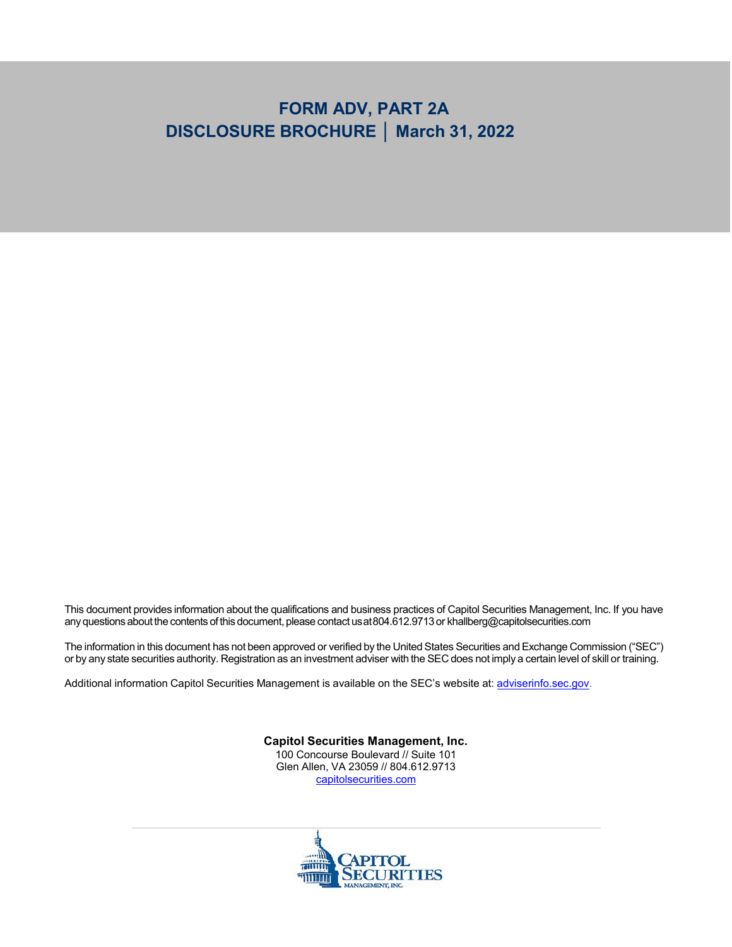# **FORM ADV, PART 2A DISCLOSURE BROCHURE │ March 31, 2022**

This document provides information about the qualifications and business practices of Capitol Securities Management, Inc. If you have any questions about the contents of this document, please contact us at 804.612.9713 or [khallberg@capitolsecurities.com](mailto:khallberg@capitolsecurities.com)

The information in this document has not been approved or verified by the United States Securities and Exchange Commission ("SEC") or by any state securities authority. Registration as an investment adviser with the SEC does not imply a certain level of skill or training.

Additional information Capitol Securities Management is available on the SEC's website at: [adviserinfo.sec.gov.](http://www.adviserinfo.sec.gov/)

**Capitol Securities Management, Inc.**

100 Concourse Boulevard // Suite 101 Glen Allen, VA 23059 // 804.612.9713 [capitolsecurities.com](https://www.capitolsecurities.com/)

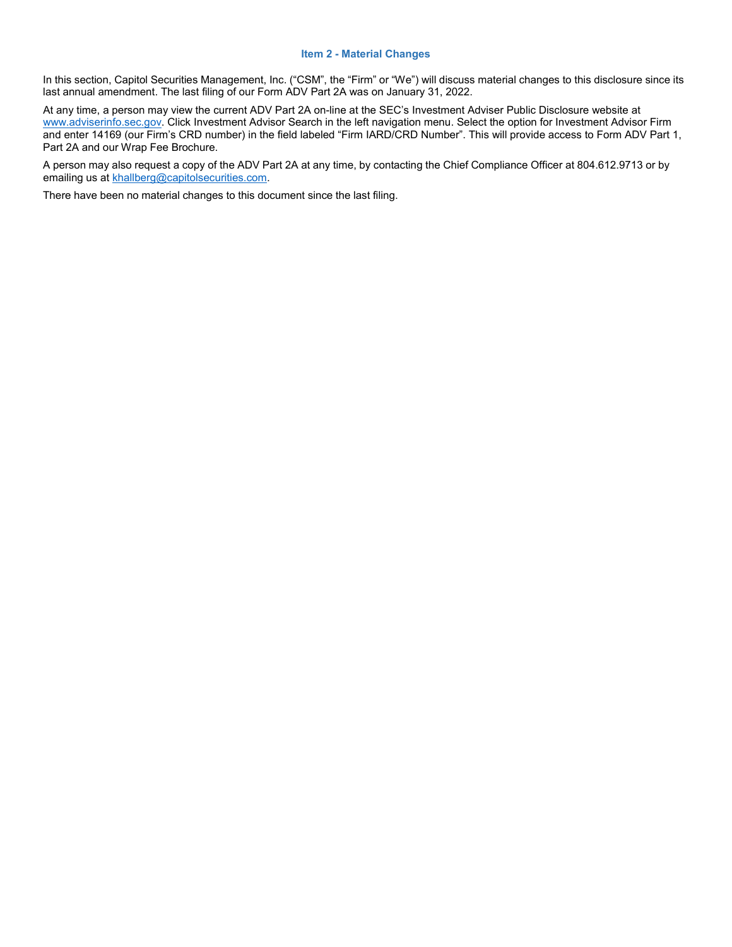#### **Item 2 - Material Changes**

<span id="page-1-0"></span>In this section, Capitol Securities Management, Inc. ("CSM", the "Firm" or "We") will discuss material changes to this disclosure since its last annual amendment. The last filing of our Form ADV Part 2A was on January 31, 2022.

At any time, a person may view the current ADV Part 2A on-line at the SEC's Investment Adviser Public Disclosure website at [www.adviserinfo.sec.gov. C](http://www.adviserinfo.sec.gov/)lick Investment Advisor Search in the left navigation menu. Select the option for Investment Advisor Firm and enter 14169 (our Firm's CRD number) in the field labeled "Firm IARD/CRD Number". This will provide access to Form ADV Part 1, Part 2A and our Wrap Fee Brochure.

A person may also request a copy of the ADV Part 2A at any time, by contacting the Chief Compliance Officer at 804.612.9713 or by emailing us at [khallberg@capitolsecurities.com.](mailto:khallberg@capitolsecurities.com)

There have been no material changes to this document since the last filing.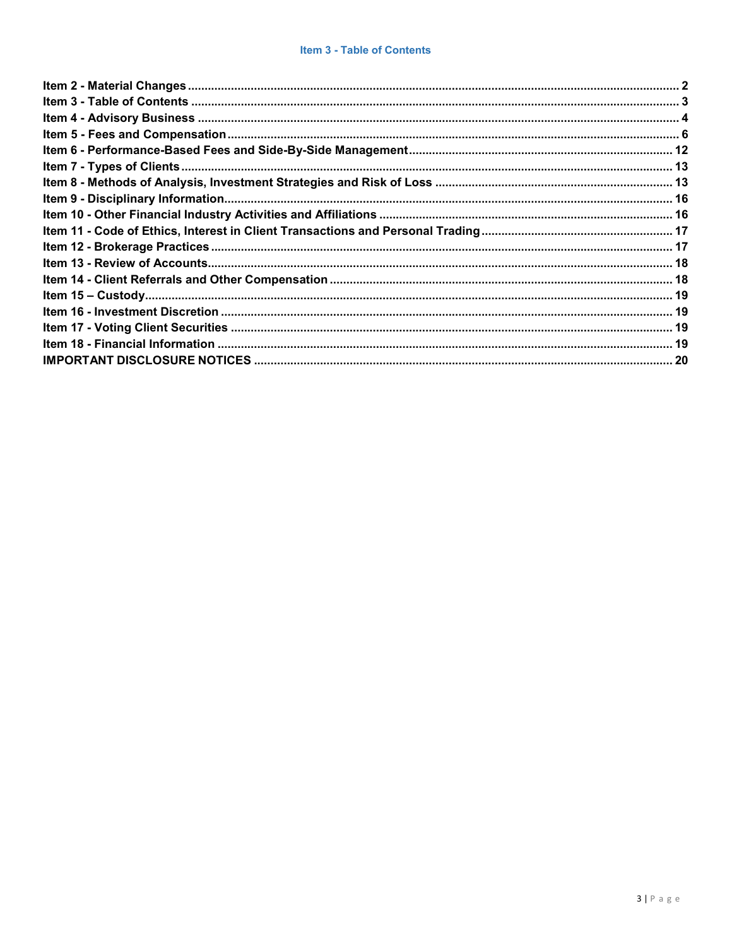<span id="page-2-0"></span>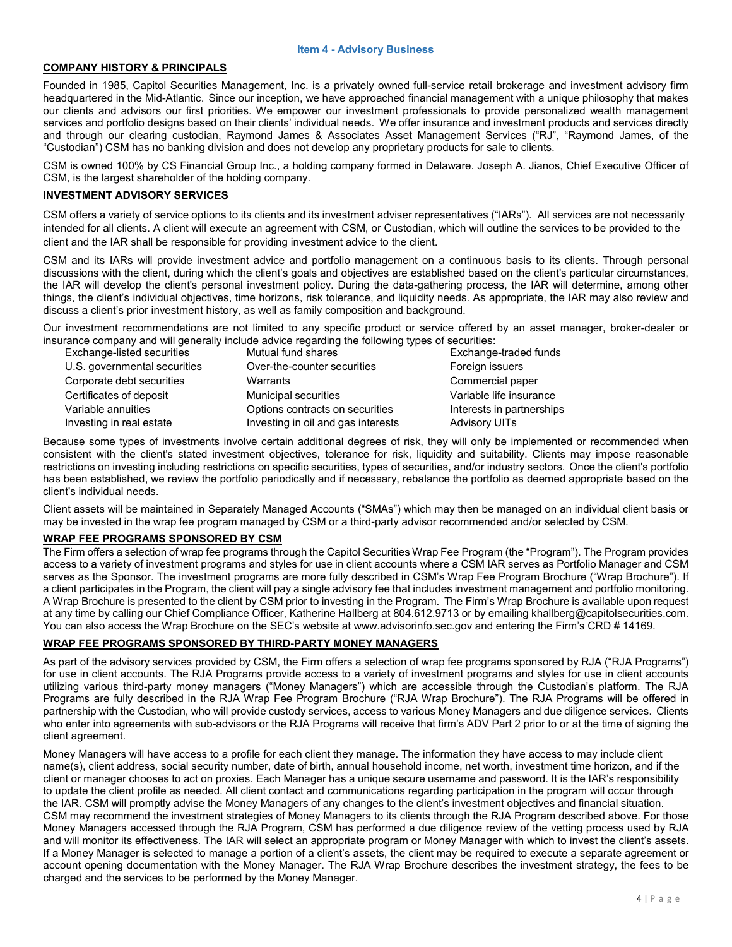#### **Item 4 - Advisory Business**

## <span id="page-3-0"></span>**COMPANY HISTORY & PRINCIPALS**

Founded in 1985, Capitol Securities Management, Inc. is a privately owned full-service retail brokerage and investment advisory firm headquartered in the Mid-Atlantic. Since our inception, we have approached financial management with a unique philosophy that makes our clients and advisors our first priorities. We empower our investment professionals to provide personalized wealth management services and portfolio designs based on their clients' individual needs. We offer insurance and investment products and services directly and through our clearing custodian, Raymond James & Associates Asset Management Services ("RJ", "Raymond James, of the "Custodian") CSM has no banking division and does not develop any proprietary products for sale to clients.

CSM is owned 100% by CS Financial Group Inc., a holding company formed in Delaware. Joseph A. Jianos, Chief Executive Officer of CSM, is the largest shareholder of the holding company.

#### **INVESTMENT ADVISORY SERVICES**

CSM offers a variety of service options to its clients and its investment adviser representatives ("IARs"). All services are not necessarily intended for all clients. A client will execute an agreement with CSM, or Custodian, which will outline the services to be provided to the client and the IAR shall be responsible for providing investment advice to the client.

CSM and its IARs will provide investment advice and portfolio management on a continuous basis to its clients. Through personal discussions with the client, during which the client's goals and objectives are established based on the client's particular circumstances, the IAR will develop the client's personal investment policy. During the data-gathering process, the IAR will determine, among other things, the client's individual objectives, time horizons, risk tolerance, and liquidity needs. As appropriate, the IAR may also review and discuss a client's prior investment history, as well as family composition and background.

Our investment recommendations are not limited to any specific product or service offered by an asset manager, broker-dealer or insurance company and will generally include advice regarding the following types of securities:

| Exchange-listed securities   | Mutual fund shares                 | Exchange-traded funds     |
|------------------------------|------------------------------------|---------------------------|
| U.S. governmental securities | Over-the-counter securities        | Foreign issuers           |
| Corporate debt securities    | Warrants                           | Commercial paper          |
| Certificates of deposit      | <b>Municipal securities</b>        | Variable life insurance   |
| Variable annuities           | Options contracts on securities    | Interests in partnerships |
| Investing in real estate     | Investing in oil and gas interests | <b>Advisory UITs</b>      |

Because some types of investments involve certain additional degrees of risk, they will only be implemented or recommended when consistent with the client's stated investment objectives, tolerance for risk, liquidity and suitability. Clients may impose reasonable restrictions on investing including restrictions on specific securities, types of securities, and/or industry sectors. Once the client's portfolio has been established, we review the portfolio periodically and if necessary, rebalance the portfolio as deemed appropriate based on the client's individual needs.

Client assets will be maintained in Separately Managed Accounts ("SMAs") which may then be managed on an individual client basis or may be invested in the wrap fee program managed by CSM or a third-party advisor recommended and/or selected by CSM.

#### **WRAP FEE PROGRAMS SPONSORED BY CSM**

The Firm offers a selection of wrap fee programs through the Capitol Securities Wrap Fee Program (the "Program"). The Program provides access to a variety of investment programs and styles for use in client accounts where a CSM IAR serves as Portfolio Manager and CSM serves as the Sponsor. The investment programs are more fully described in CSM's Wrap Fee Program Brochure ("Wrap Brochure"). If a client participates in the Program, the client will pay a single advisory fee that includes investment management and portfolio monitoring. A Wrap Brochure is presented to the client by CSM prior to investing in the Program. The Firm's Wrap Brochure is available upon request at any time by calling our Chief Compliance Officer, Katherine Hallberg at 804.612.9713 or by emailing [khallberg@capitolsecurities.com.](mailto:khallberg@capitolsecurities.com) You can also access the Wrap Brochure on the SEC's website at [www.advisorinfo.sec.gov](http://www.advisorinfo.sec.gov/) and entering the Firm's CRD # 14169.

#### **WRAP FEE PROGRAMS SPONSORED BY THIRD-PARTY MONEY MANAGERS**

As part of the advisory services provided by CSM, the Firm offers a selection of wrap fee programs sponsored by RJA ("RJA Programs") for use in client accounts. The RJA Programs provide access to a variety of investment programs and styles for use in client accounts utilizing various third-party money managers ("Money Managers") which are accessible through the Custodian's platform. The RJA Programs are fully described in the RJA Wrap Fee Program Brochure ("RJA Wrap Brochure"). The RJA Programs will be offered in partnership with the Custodian, who will provide custody services, access to various Money Managers and due diligence services. Clients who enter into agreements with sub-advisors or the RJA Programs will receive that firm's ADV Part 2 prior to or at the time of signing the client agreement.

Money Managers will have access to a profile for each client they manage. The information they have access to may include client name(s), client address, social security number, date of birth, annual household income, net worth, investment time horizon, and if the client or manager chooses to act on proxies. Each Manager has a unique secure username and password. It is the IAR's responsibility to update the client profile as needed. All client contact and communications regarding participation in the program will occur through the IAR. CSM will promptly advise the Money Managers of any changes to the client's investment objectives and financial situation. CSM may recommend the investment strategies of Money Managers to its clients through the RJA Program described above. For those Money Managers accessed through the RJA Program, CSM has performed a due diligence review of the vetting process used by RJA and will monitor its effectiveness. The IAR will select an appropriate program or Money Manager with which to invest the client's assets. If a Money Manager is selected to manage a portion of a client's assets, the client may be required to execute a separate agreement or account opening documentation with the Money Manager. The RJA Wrap Brochure describes the investment strategy, the fees to be charged and the services to be performed by the Money Manager.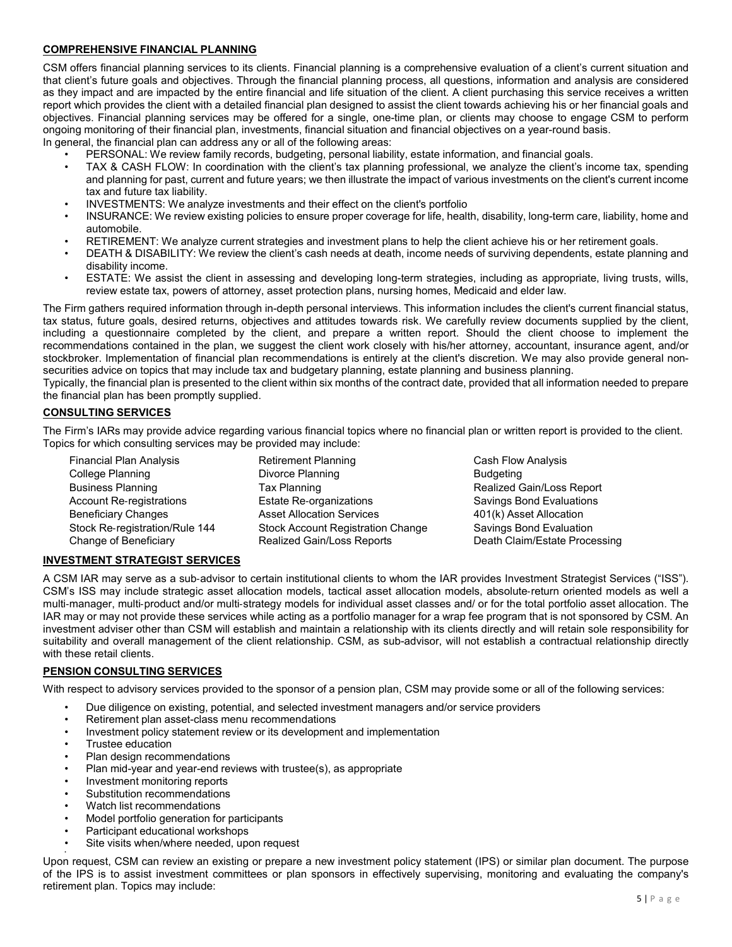# **COMPREHENSIVE FINANCIAL PLANNING**

CSM offers financial planning services to its clients. Financial planning is a comprehensive evaluation of a client's current situation and that client's future goals and objectives. Through the financial planning process, all questions, information and analysis are considered as they impact and are impacted by the entire financial and life situation of the client. A client purchasing this service receives a written report which provides the client with a detailed financial plan designed to assist the client towards achieving his or her financial goals and objectives. Financial planning services may be offered for a single, one-time plan, or clients may choose to engage CSM to perform ongoing monitoring of their financial plan, investments, financial situation and financial objectives on a year-round basis. In general, the financial plan can address any or all of the following areas:

• PERSONAL: We review family records, budgeting, personal liability, estate information, and financial goals.

- TAX & CASH FLOW: In coordination with the client's tax planning professional, we analyze the client's income tax, spending and planning for past, current and future years; we then illustrate the impact of various investments on the client's current income tax and future tax liability.
- INVESTMENTS: We analyze investments and their effect on the client's portfolio
- INSURANCE: We review existing policies to ensure proper coverage for life, health, disability, long-term care, liability, home and automobile.
- RETIREMENT: We analyze current strategies and investment plans to help the client achieve his or her retirement goals.
- DEATH & DISABILITY: We review the client's cash needs at death, income needs of surviving dependents, estate planning and disability income.
- ESTATE: We assist the client in assessing and developing long-term strategies, including as appropriate, living trusts, wills, review estate tax, powers of attorney, asset protection plans, nursing homes, Medicaid and elder law.

The Firm gathers required information through in-depth personal interviews. This information includes the client's current financial status, tax status, future goals, desired returns, objectives and attitudes towards risk. We carefully review documents supplied by the client, including a questionnaire completed by the client, and prepare a written report. Should the client choose to implement the recommendations contained in the plan, we suggest the client work closely with his/her attorney, accountant, insurance agent, and/or stockbroker. Implementation of financial plan recommendations is entirely at the client's discretion. We may also provide general nonsecurities advice on topics that may include tax and budgetary planning, estate planning and business planning.

Typically, the financial plan is presented to the client within six months of the contract date, provided that all information needed to prepare the financial plan has been promptly supplied.

## **CONSULTING SERVICES**

The Firm's IARs may provide advice regarding various financial topics where no financial plan or written report is provided to the client. Topics for which consulting services may be provided may include:

| <b>Financial Plan Analysis</b>  | <b>Retirement Planning</b>               | Cash Flow        |
|---------------------------------|------------------------------------------|------------------|
| College Planning                | Divorce Planning                         | <b>Budgeting</b> |
| <b>Business Planning</b>        | Tax Planning                             | Realized 0       |
| <b>Account Re-registrations</b> | <b>Estate Re-organizations</b>           | Savings B        |
| <b>Beneficiary Changes</b>      | <b>Asset Allocation Services</b>         | $401(k)$ Ass     |
| Stock Re-registration/Rule 144  | <b>Stock Account Registration Change</b> | Savings B        |
| Change of Beneficiary           | Realized Gain/Loss Reports               | Death Cla        |

**Cash Flow Analysis** Realized Gain/Loss Report ons Savings Bond Evaluations<br>vices 401/k) Asset Allocation 401(k) Asset Allocation Stock Re‐registration/Rule 144 Stock Account Registration Change Savings Bond Evaluation Death Claim/Estate Processing

## **INVESTMENT STRATEGIST SERVICES**

A CSM IAR may serve as a sub‐advisor to certain institutional clients to whom the IAR provides Investment Strategist Services ("ISS"). CSM's ISS may include strategic asset allocation models, tactical asset allocation models, absolute‐return oriented models as well a multi-manager, multi-product and/or multi-strategy models for individual asset classes and/ or for the total portfolio asset allocation. The IAR may or may not provide these services while acting as a portfolio manager for a wrap fee program that is not sponsored by CSM. An investment adviser other than CSM will establish and maintain a relationship with its clients directly and will retain sole responsibility for suitability and overall management of the client relationship. CSM, as sub-advisor, will not establish a contractual relationship directly with these retail clients.

## **PENSION CONSULTING SERVICES**

With respect to advisory services provided to the sponsor of a pension plan, CSM may provide some or all of the following services:

- Due diligence on existing, potential, and selected investment managers and/or service providers
- Retirement plan asset-class menu recommendations
- Investment policy statement review or its development and implementation
- Trustee education
- Plan design recommendations
- Plan mid-year and year-end reviews with trustee(s), as appropriate
- Investment monitoring reports
- Substitution recommendations
- Watch list recommendations
- Model portfolio generation for participants
- Participant educational workshops
- Site visits when/where needed, upon request

• Upon request, CSM can review an existing or prepare a new investment policy statement (IPS) or similar plan document. The purpose of the IPS is to assist investment committees or plan sponsors in effectively supervising, monitoring and evaluating the company's retirement plan. Topics may include: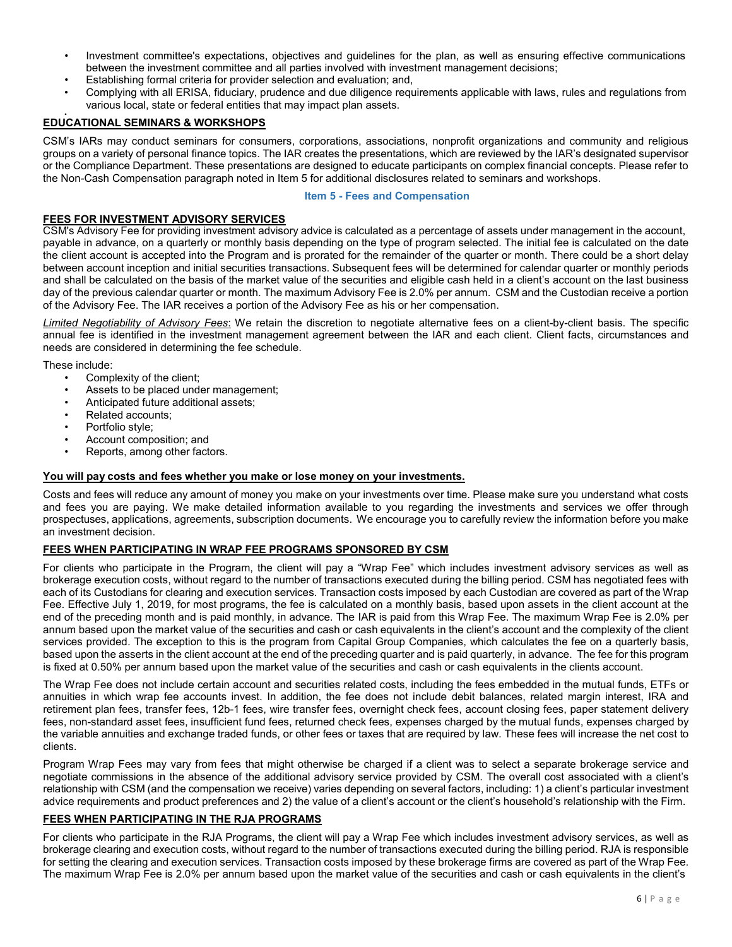- Investment committee's expectations, objectives and guidelines for the plan, as well as ensuring effective communications between the investment committee and all parties involved with investment management decisions;
- Establishing formal criteria for provider selection and evaluation; and,
- Complying with all ERISA, fiduciary, prudence and due diligence requirements applicable with laws, rules and regulations from various local, state or federal entities that may impact plan assets.

# • **EDUCATIONAL SEMINARS & WORKSHOPS**

CSM's IARs may conduct seminars for consumers, corporations, associations, nonprofit organizations and community and religious groups on a variety of personal finance topics. The IAR creates the presentations, which are reviewed by the IAR's designated supervisor or the Compliance Department. These presentations are designed to educate participants on complex financial concepts. Please refer to the Non-Cash Compensation paragraph noted in Item 5 for additional disclosures related to seminars and workshops.

#### **Item 5 - Fees and Compensation**

# <span id="page-5-0"></span>**FEES FOR INVESTMENT ADVISORY SERVICES**

CSM's Advisory Fee for providing investment advisory advice is calculated as a percentage of assets under management in the account, payable in advance, on a quarterly or monthly basis depending on the type of program selected. The initial fee is calculated on the date the client account is accepted into the Program and is prorated for the remainder of the quarter or month. There could be a short delay between account inception and initial securities transactions. Subsequent fees will be determined for calendar quarter or monthly periods and shall be calculated on the basis of the market value of the securities and eligible cash held in a client's account on the last business day of the previous calendar quarter or month. The maximum Advisory Fee is 2.0% per annum. CSM and the Custodian receive a portion of the Advisory Fee. The IAR receives a portion of the Advisory Fee as his or her compensation.

*Limited Negotiability of Advisory Fees*: We retain the discretion to negotiate alternative fees on a client-by-client basis. The specific annual fee is identified in the investment management agreement between the IAR and each client. Client facts, circumstances and needs are considered in determining the fee schedule.

These include:

- Complexity of the client;
- Assets to be placed under management;
- Anticipated future additional assets;
- Related accounts;
- Portfolio style;
- Account composition; and
- Reports, among other factors.

## **You will pay costs and fees whether you make or lose money on your investments.**

Costs and fees will reduce any amount of money you make on your investments over time. Please make sure you understand what costs and fees you are paying. We make detailed information available to you regarding the investments and services we offer through prospectuses, applications, agreements, subscription documents. We encourage you to carefully review the information before you make an investment decision.

## **FEES WHEN PARTICIPATING IN WRAP FEE PROGRAMS SPONSORED BY CSM**

For clients who participate in the Program, the client will pay a "Wrap Fee" which includes investment advisory services as well as brokerage execution costs, without regard to the number of transactions executed during the billing period. CSM has negotiated fees with each of its Custodians for clearing and execution services. Transaction costs imposed by each Custodian are covered as part of the Wrap Fee. Effective July 1, 2019, for most programs, the fee is calculated on a monthly basis, based upon assets in the client account at the end of the preceding month and is paid monthly, in advance. The IAR is paid from this Wrap Fee. The maximum Wrap Fee is 2.0% per annum based upon the market value of the securities and cash or cash equivalents in the client's account and the complexity of the client services provided. The exception to this is the program from Capital Group Companies, which calculates the fee on a quarterly basis, based upon the asserts in the client account at the end of the preceding quarter and is paid quarterly, in advance. The fee for this program is fixed at 0.50% per annum based upon the market value of the securities and cash or cash equivalents in the clients account.

The Wrap Fee does not include certain account and securities related costs, including the fees embedded in the mutual funds, ETFs or annuities in which wrap fee accounts invest. In addition, the fee does not include debit balances, related margin interest, IRA and retirement plan fees, transfer fees, 12b-1 fees, wire transfer fees, overnight check fees, account closing fees, paper statement delivery fees, non-standard asset fees, insufficient fund fees, returned check fees, expenses charged by the mutual funds, expenses charged by the variable annuities and exchange traded funds, or other fees or taxes that are required by law. These fees will increase the net cost to clients.

Program Wrap Fees may vary from fees that might otherwise be charged if a client was to select a separate brokerage service and negotiate commissions in the absence of the additional advisory service provided by CSM. The overall cost associated with a client's relationship with CSM (and the compensation we receive) varies depending on several factors, including: 1) a client's particular investment advice requirements and product preferences and 2) the value of a client's account or the client's household's relationship with the Firm.

## **FEES WHEN PARTICIPATING IN THE RJA PROGRAMS**

For clients who participate in the RJA Programs, the client will pay a Wrap Fee which includes investment advisory services, as well as brokerage clearing and execution costs, without regard to the number of transactions executed during the billing period. RJA is responsible for setting the clearing and execution services. Transaction costs imposed by these brokerage firms are covered as part of the Wrap Fee. The maximum Wrap Fee is 2.0% per annum based upon the market value of the securities and cash or cash equivalents in the client's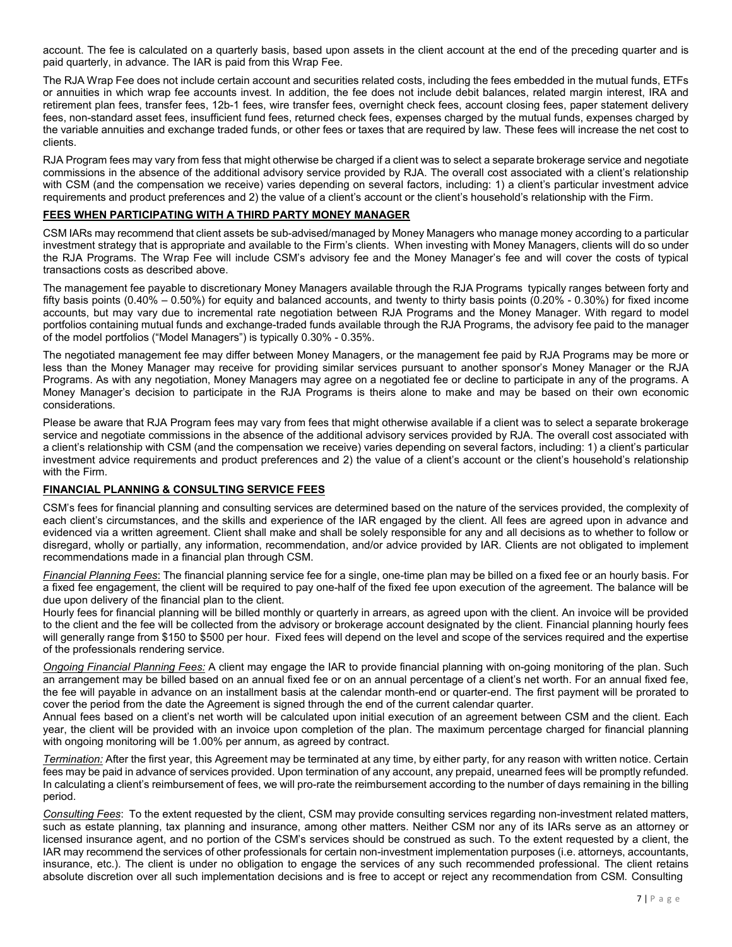account. The fee is calculated on a quarterly basis, based upon assets in the client account at the end of the preceding quarter and is paid quarterly, in advance. The IAR is paid from this Wrap Fee.

The RJA Wrap Fee does not include certain account and securities related costs, including the fees embedded in the mutual funds, ETFs or annuities in which wrap fee accounts invest. In addition, the fee does not include debit balances, related margin interest, IRA and retirement plan fees, transfer fees, 12b-1 fees, wire transfer fees, overnight check fees, account closing fees, paper statement delivery fees, non-standard asset fees, insufficient fund fees, returned check fees, expenses charged by the mutual funds, expenses charged by the variable annuities and exchange traded funds, or other fees or taxes that are required by law. These fees will increase the net cost to clients.

RJA Program fees may vary from fess that might otherwise be charged if a client was to select a separate brokerage service and negotiate commissions in the absence of the additional advisory service provided by RJA. The overall cost associated with a client's relationship with CSM (and the compensation we receive) varies depending on several factors, including: 1) a client's particular investment advice requirements and product preferences and 2) the value of a client's account or the client's household's relationship with the Firm.

# **FEES WHEN PARTICIPATING WITH A THIRD PARTY MONEY MANAGER**

CSM IARs may recommend that client assets be sub-advised/managed by Money Managers who manage money according to a particular investment strategy that is appropriate and available to the Firm's clients. When investing with Money Managers, clients will do so under the RJA Programs. The Wrap Fee will include CSM's advisory fee and the Money Manager's fee and will cover the costs of typical transactions costs as described above.

The management fee payable to discretionary Money Managers available through the RJA Programs typically ranges between forty and fifty basis points (0.40% – 0.50%) for equity and balanced accounts, and twenty to thirty basis points (0.20% - 0.30%) for fixed income accounts, but may vary due to incremental rate negotiation between RJA Programs and the Money Manager. With regard to model portfolios containing mutual funds and exchange-traded funds available through the RJA Programs, the advisory fee paid to the manager of the model portfolios ("Model Managers") is typically 0.30% - 0.35%.

The negotiated management fee may differ between Money Managers, or the management fee paid by RJA Programs may be more or less than the Money Manager may receive for providing similar services pursuant to another sponsor's Money Manager or the RJA Programs. As with any negotiation, Money Managers may agree on a negotiated fee or decline to participate in any of the programs. A Money Manager's decision to participate in the RJA Programs is theirs alone to make and may be based on their own economic considerations.

Please be aware that RJA Program fees may vary from fees that might otherwise available if a client was to select a separate brokerage service and negotiate commissions in the absence of the additional advisory services provided by RJA. The overall cost associated with a client's relationship with CSM (and the compensation we receive) varies depending on several factors, including: 1) a client's particular investment advice requirements and product preferences and 2) the value of a client's account or the client's household's relationship with the Firm.

## **FINANCIAL PLANNING & CONSULTING SERVICE FEES**

CSM's fees for financial planning and consulting services are determined based on the nature of the services provided, the complexity of each client's circumstances, and the skills and experience of the IAR engaged by the client. All fees are agreed upon in advance and evidenced via a written agreement. Client shall make and shall be solely responsible for any and all decisions as to whether to follow or disregard, wholly or partially, any information, recommendation, and/or advice provided by IAR. Clients are not obligated to implement recommendations made in a financial plan through CSM.

*Financial Planning Fees*: The financial planning service fee for a single, one-time plan may be billed on a fixed fee or an hourly basis. For a fixed fee engagement, the client will be required to pay one-half of the fixed fee upon execution of the agreement. The balance will be due upon delivery of the financial plan to the client.

Hourly fees for financial planning will be billed monthly or quarterly in arrears, as agreed upon with the client. An invoice will be provided to the client and the fee will be collected from the advisory or brokerage account designated by the client. Financial planning hourly fees will generally range from \$150 to \$500 per hour. Fixed fees will depend on the level and scope of the services required and the expertise of the professionals rendering service.

*Ongoing Financial Planning Fees:* A client may engage the IAR to provide financial planning with on-going monitoring of the plan. Such an arrangement may be billed based on an annual fixed fee or on an annual percentage of a client's net worth. For an annual fixed fee, the fee will payable in advance on an installment basis at the calendar month-end or quarter-end. The first payment will be prorated to cover the period from the date the Agreement is signed through the end of the current calendar quarter.

Annual fees based on a client's net worth will be calculated upon initial execution of an agreement between CSM and the client. Each year, the client will be provided with an invoice upon completion of the plan. The maximum percentage charged for financial planning with ongoing monitoring will be 1.00% per annum, as agreed by contract.

*Termination:* After the first year, this Agreement may be terminated at any time, by either party, for any reason with written notice. Certain fees may be paid in advance of services provided. Upon termination of any account, any prepaid, unearned fees will be promptly refunded. In calculating a client's reimbursement of fees, we will pro-rate the reimbursement according to the number of days remaining in the billing period.

*Consulting Fees*: To the extent requested by the client, CSM may provide consulting services regarding non-investment related matters, such as estate planning, tax planning and insurance, among other matters. Neither CSM nor any of its IARs serve as an attorney or licensed insurance agent, and no portion of the CSM's services should be construed as such. To the extent requested by a client, the IAR may recommend the services of other professionals for certain non-investment implementation purposes (i.e. attorneys, accountants, insurance, etc.). The client is under no obligation to engage the services of any such recommended professional. The client retains absolute discretion over all such implementation decisions and is free to accept or reject any recommendation from CSM. Consulting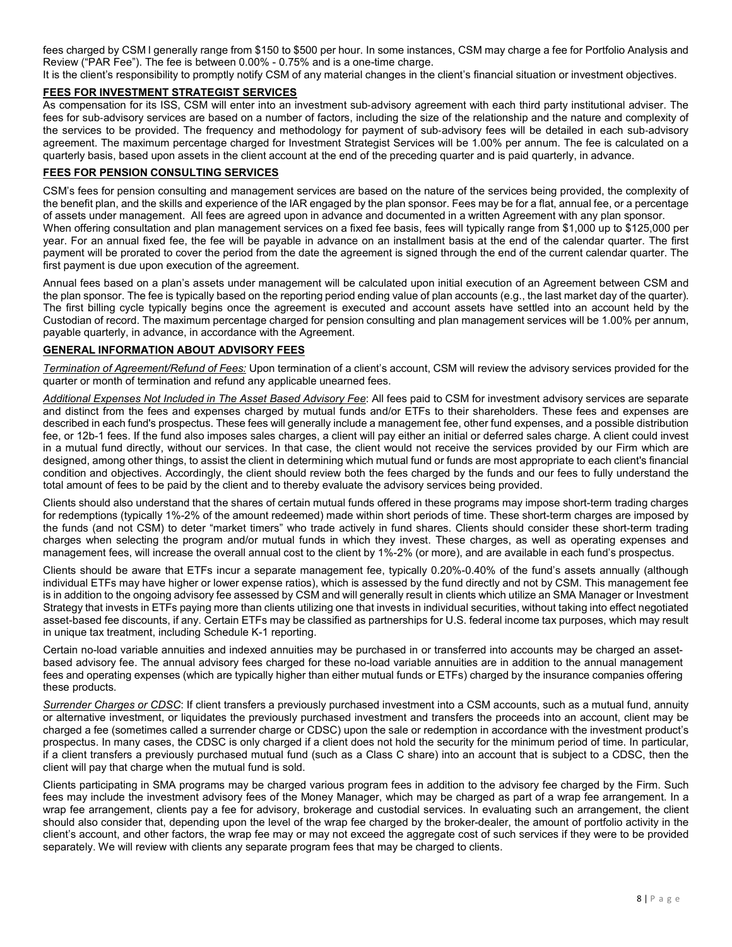fees charged by CSM l generally range from \$150 to \$500 per hour. In some instances, CSM may charge a fee for Portfolio Analysis and Review ("PAR Fee"). The fee is between 0.00% - 0.75% and is a one-time charge.

It is the client's responsibility to promptly notify CSM of any material changes in the client's financial situation or investment objectives.

# **FEES FOR INVESTMENT STRATEGIST SERVICES**

As compensation for its ISS, CSM will enter into an investment sub‐advisory agreement with each third party institutional adviser. The fees for sub‐advisory services are based on a number of factors, including the size of the relationship and the nature and complexity of the services to be provided. The frequency and methodology for payment of sub‐advisory fees will be detailed in each sub‐advisory agreement. The maximum percentage charged for Investment Strategist Services will be 1.00% per annum. The fee is calculated on a quarterly basis, based upon assets in the client account at the end of the preceding quarter and is paid quarterly, in advance.

# **FEES FOR PENSION CONSULTING SERVICES**

CSM's fees for pension consulting and management services are based on the nature of the services being provided, the complexity of the benefit plan, and the skills and experience of the IAR engaged by the plan sponsor. Fees may be for a flat, annual fee, or a percentage of assets under management. All fees are agreed upon in advance and documented in a written Agreement with any plan sponsor. When offering consultation and plan management services on a fixed fee basis, fees will typically range from \$1,000 up to \$125,000 per year. For an annual fixed fee, the fee will be payable in advance on an installment basis at the end of the calendar quarter. The first payment will be prorated to cover the period from the date the agreement is signed through the end of the current calendar quarter. The first payment is due upon execution of the agreement.

Annual fees based on a plan's assets under management will be calculated upon initial execution of an Agreement between CSM and the plan sponsor. The fee is typically based on the reporting period ending value of plan accounts (e.g., the last market day of the quarter). The first billing cycle typically begins once the agreement is executed and account assets have settled into an account held by the Custodian of record. The maximum percentage charged for pension consulting and plan management services will be 1.00% per annum, payable quarterly, in advance, in accordance with the Agreement.

# **GENERAL INFORMATION ABOUT ADVISORY FEES**

*Termination of Agreement/Refund of Fees:* Upon termination of a client's account, CSM will review the advisory services provided for the quarter or month of termination and refund any applicable unearned fees.

*Additional Expenses Not Included in The Asset Based Advisory Fee*: All fees paid to CSM for investment advisory services are separate and distinct from the fees and expenses charged by mutual funds and/or ETFs to their shareholders. These fees and expenses are described in each fund's prospectus. These fees will generally include a management fee, other fund expenses, and a possible distribution fee, or 12b-1 fees. If the fund also imposes sales charges, a client will pay either an initial or deferred sales charge. A client could invest in a mutual fund directly, without our services. In that case, the client would not receive the services provided by our Firm which are designed, among other things, to assist the client in determining which mutual fund or funds are most appropriate to each client's financial condition and objectives. Accordingly, the client should review both the fees charged by the funds and our fees to fully understand the total amount of fees to be paid by the client and to thereby evaluate the advisory services being provided.

Clients should also understand that the shares of certain mutual funds offered in these programs may impose short-term trading charges for redemptions (typically 1%-2% of the amount redeemed) made within short periods of time. These short-term charges are imposed by the funds (and not CSM) to deter "market timers" who trade actively in fund shares. Clients should consider these short-term trading charges when selecting the program and/or mutual funds in which they invest. These charges, as well as operating expenses and management fees, will increase the overall annual cost to the client by 1%-2% (or more), and are available in each fund's prospectus.

Clients should be aware that ETFs incur a separate management fee, typically 0.20%-0.40% of the fund's assets annually (although individual ETFs may have higher or lower expense ratios), which is assessed by the fund directly and not by CSM. This management fee is in addition to the ongoing advisory fee assessed by CSM and will generally result in clients which utilize an SMA Manager or Investment Strategy that invests in ETFs paying more than clients utilizing one that invests in individual securities, without taking into effect negotiated asset-based fee discounts, if any. Certain ETFs may be classified as partnerships for U.S. federal income tax purposes, which may result in unique tax treatment, including Schedule K-1 reporting.

Certain no-load variable annuities and indexed annuities may be purchased in or transferred into accounts may be charged an assetbased advisory fee. The annual advisory fees charged for these no-load variable annuities are in addition to the annual management fees and operating expenses (which are typically higher than either mutual funds or ETFs) charged by the insurance companies offering these products.

*Surrender Charges or CDSC*: If client transfers a previously purchased investment into a CSM accounts, such as a mutual fund, annuity or alternative investment, or liquidates the previously purchased investment and transfers the proceeds into an account, client may be charged a fee (sometimes called a surrender charge or CDSC) upon the sale or redemption in accordance with the investment product's prospectus. In many cases, the CDSC is only charged if a client does not hold the security for the minimum period of time. In particular, if a client transfers a previously purchased mutual fund (such as a Class C share) into an account that is subject to a CDSC, then the client will pay that charge when the mutual fund is sold.

Clients participating in SMA programs may be charged various program fees in addition to the advisory fee charged by the Firm. Such fees may include the investment advisory fees of the Money Manager, which may be charged as part of a wrap fee arrangement. In a wrap fee arrangement, clients pay a fee for advisory, brokerage and custodial services. In evaluating such an arrangement, the client should also consider that, depending upon the level of the wrap fee charged by the broker-dealer, the amount of portfolio activity in the client's account, and other factors, the wrap fee may or may not exceed the aggregate cost of such services if they were to be provided separately. We will review with clients any separate program fees that may be charged to clients.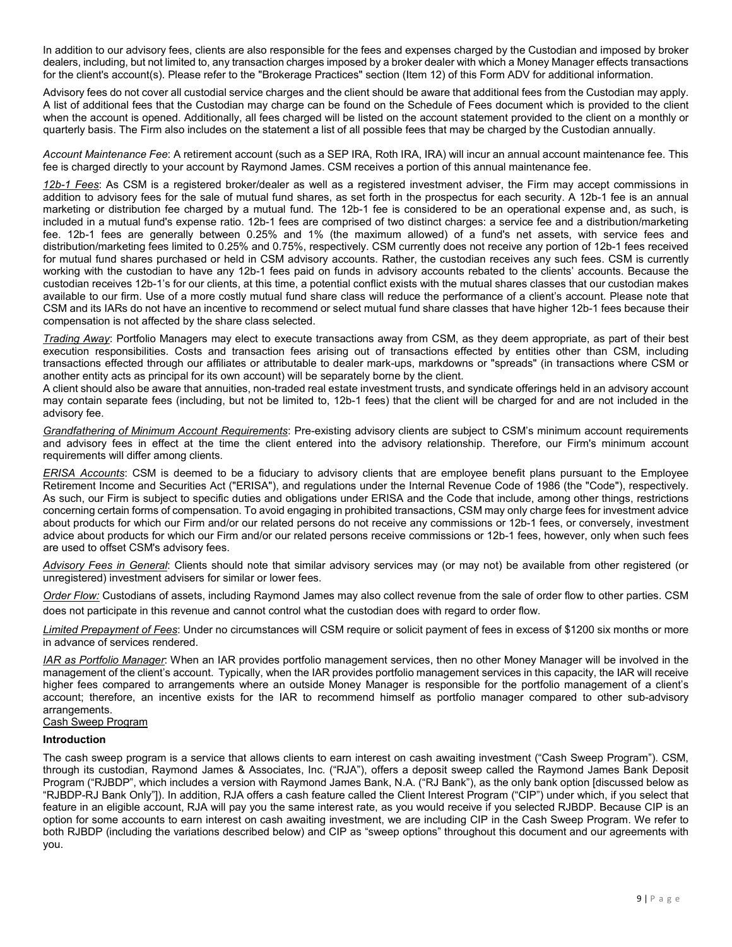In addition to our advisory fees, clients are also responsible for the fees and expenses charged by the Custodian and imposed by broker dealers, including, but not limited to, any transaction charges imposed by a broker dealer with which a Money Manager effects transactions for the client's account(s). Please refer to the "Brokerage Practices" section (Item 12) of this Form ADV for additional information.

Advisory fees do not cover all custodial service charges and the client should be aware that additional fees from the Custodian may apply. A list of additional fees that the Custodian may charge can be found on the Schedule of Fees document which is provided to the client when the account is opened. Additionally, all fees charged will be listed on the account statement provided to the client on a monthly or quarterly basis. The Firm also includes on the statement a list of all possible fees that may be charged by the Custodian annually.

*Account Maintenance Fee*: A retirement account (such as a SEP IRA, Roth IRA, IRA) will incur an annual account maintenance fee. This fee is charged directly to your account by Raymond James. CSM receives a portion of this annual maintenance fee.

*12b-1 Fees*: As CSM is a registered broker/dealer as well as a registered investment adviser, the Firm may accept commissions in addition to advisory fees for the sale of mutual fund shares, as set forth in the prospectus for each security. A 12b-1 fee is an annual marketing or distribution fee charged by a mutual fund. The 12b-1 fee is considered to be an operational expense and, as such, is included in a mutual fund's expense ratio. 12b-1 fees are comprised of two distinct charges: a service fee and a distribution/marketing fee. 12b-1 fees are generally between 0.25% and 1% (the maximum allowed) of a fund's net assets, with service fees and distribution/marketing fees limited to 0.25% and 0.75%, respectively. CSM currently does not receive any portion of 12b-1 fees received for mutual fund shares purchased or held in CSM advisory accounts. Rather, the custodian receives any such fees. CSM is currently working with the custodian to have any 12b-1 fees paid on funds in advisory accounts rebated to the clients' accounts. Because the custodian receives 12b-1's for our clients, at this time, a potential conflict exists with the mutual shares classes that our custodian makes available to our firm. Use of a more costly mutual fund share class will reduce the performance of a client's account. Please note that CSM and its IARs do not have an incentive to recommend or select mutual fund share classes that have higher 12b-1 fees because their compensation is not affected by the share class selected.

*Trading Away*: Portfolio Managers may elect to execute transactions away from CSM, as they deem appropriate, as part of their best execution responsibilities. Costs and transaction fees arising out of transactions effected by entities other than CSM, including transactions effected through our affiliates or attributable to dealer mark-ups, markdowns or "spreads" (in transactions where CSM or another entity acts as principal for its own account) will be separately borne by the client.

A client should also be aware that annuities, non-traded real estate investment trusts, and syndicate offerings held in an advisory account may contain separate fees (including, but not be limited to, 12b-1 fees) that the client will be charged for and are not included in the advisory fee.

*Grandfathering of Minimum Account Requirements*: Pre-existing advisory clients are subject to CSM's minimum account requirements and advisory fees in effect at the time the client entered into the advisory relationship. Therefore, our Firm's minimum account requirements will differ among clients.

*ERISA Accounts*: CSM is deemed to be a fiduciary to advisory clients that are employee benefit plans pursuant to the Employee Retirement Income and Securities Act ("ERISA"), and regulations under the Internal Revenue Code of 1986 (the "Code"), respectively. As such, our Firm is subject to specific duties and obligations under ERISA and the Code that include, among other things, restrictions concerning certain forms of compensation. To avoid engaging in prohibited transactions, CSM may only charge fees for investment advice about products for which our Firm and/or our related persons do not receive any commissions or 12b-1 fees, or conversely, investment advice about products for which our Firm and/or our related persons receive commissions or 12b-1 fees, however, only when such fees are used to offset CSM's advisory fees.

*Advisory Fees in General*: Clients should note that similar advisory services may (or may not) be available from other registered (or unregistered) investment advisers for similar or lower fees.

*Order Flow:* Custodians of assets, including Raymond James may also collect revenue from the sale of order flow to other parties. CSM does not participate in this revenue and cannot control what the custodian does with regard to order flow.

*Limited Prepayment of Fees*: Under no circumstances will CSM require or solicit payment of fees in excess of \$1200 six months or more in advance of services rendered.

*IAR as Portfolio Manager*: When an IAR provides portfolio management services, then no other Money Manager will be involved in the management of the client's account. Typically, when the IAR provides portfolio management services in this capacity, the IAR will receive higher fees compared to arrangements where an outside Money Manager is responsible for the portfolio management of a client's account; therefore, an incentive exists for the IAR to recommend himself as portfolio manager compared to other sub-advisory arrangements.

# Cash Sweep Program

#### **Introduction**

The cash sweep program is a service that allows clients to earn interest on cash awaiting investment ("Cash Sweep Program"). CSM, through its custodian, Raymond James & Associates, Inc. ("RJA"), offers a deposit sweep called the Raymond James Bank Deposit Program ("RJBDP", which includes a version with Raymond James Bank, N.A. ("RJ Bank"), as the only bank option [discussed below as "RJBDP-RJ Bank Only"]). In addition, RJA offers a cash feature called the Client Interest Program ("CIP") under which, if you select that feature in an eligible account, RJA will pay you the same interest rate, as you would receive if you selected RJBDP. Because CIP is an option for some accounts to earn interest on cash awaiting investment, we are including CIP in the Cash Sweep Program. We refer to both RJBDP (including the variations described below) and CIP as "sweep options" throughout this document and our agreements with you.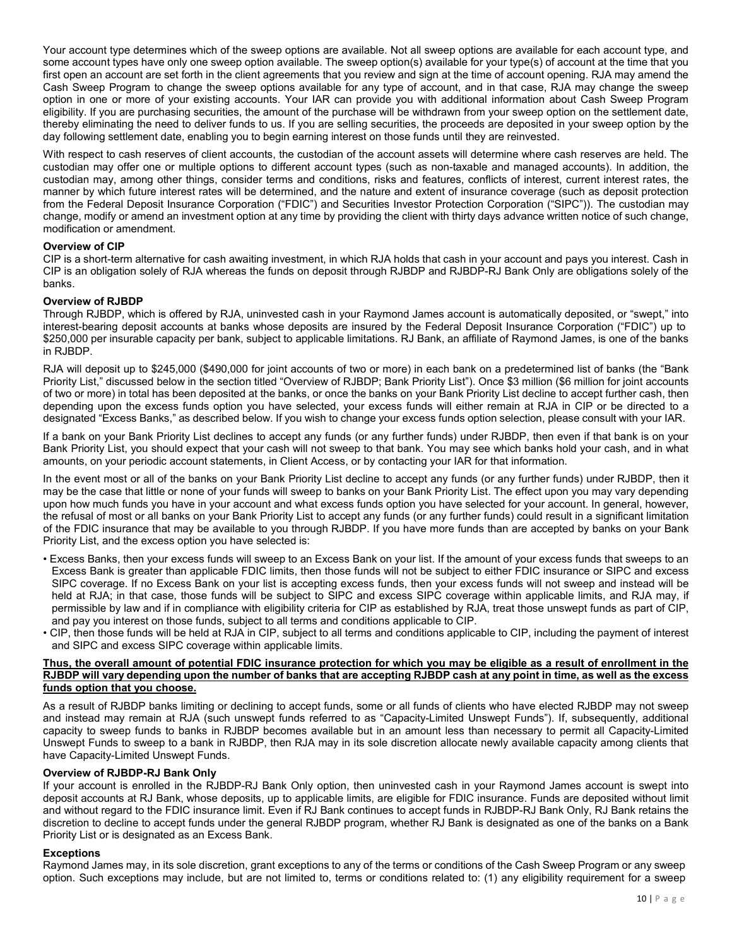Your account type determines which of the sweep options are available. Not all sweep options are available for each account type, and some account types have only one sweep option available. The sweep option(s) available for your type(s) of account at the time that you first open an account are set forth in the client agreements that you review and sign at the time of account opening. RJA may amend the Cash Sweep Program to change the sweep options available for any type of account, and in that case, RJA may change the sweep option in one or more of your existing accounts. Your IAR can provide you with additional information about Cash Sweep Program eligibility. If you are purchasing securities, the amount of the purchase will be withdrawn from your sweep option on the settlement date, thereby eliminating the need to deliver funds to us. If you are selling securities, the proceeds are deposited in your sweep option by the day following settlement date, enabling you to begin earning interest on those funds until they are reinvested.

With respect to cash reserves of client accounts, the custodian of the account assets will determine where cash reserves are held. The custodian may offer one or multiple options to different account types (such as non-taxable and managed accounts). In addition, the custodian may, among other things, consider terms and conditions, risks and features, conflicts of interest, current interest rates, the manner by which future interest rates will be determined, and the nature and extent of insurance coverage (such as deposit protection from the Federal Deposit Insurance Corporation ("FDIC") and Securities Investor Protection Corporation ("SIPC")). The custodian may change, modify or amend an investment option at any time by providing the client with thirty days advance written notice of such change, modification or amendment.

# **Overview of CIP**

CIP is a short-term alternative for cash awaiting investment, in which RJA holds that cash in your account and pays you interest. Cash in CIP is an obligation solely of RJA whereas the funds on deposit through RJBDP and RJBDP-RJ Bank Only are obligations solely of the banks.

## **Overview of RJBDP**

Through RJBDP, which is offered by RJA, uninvested cash in your Raymond James account is automatically deposited, or "swept," into interest-bearing deposit accounts at banks whose deposits are insured by the Federal Deposit Insurance Corporation ("FDIC") up to \$250,000 per insurable capacity per bank, subject to applicable limitations. RJ Bank, an affiliate of Raymond James, is one of the banks in RJBDP.

RJA will deposit up to \$245,000 (\$490,000 for joint accounts of two or more) in each bank on a predetermined list of banks (the "Bank Priority List," discussed below in the section titled "Overview of RJBDP; Bank Priority List"). Once \$3 million (\$6 million for joint accounts of two or more) in total has been deposited at the banks, or once the banks on your Bank Priority List decline to accept further cash, then depending upon the excess funds option you have selected, your excess funds will either remain at RJA in CIP or be directed to a designated "Excess Banks," as described below. If you wish to change your excess funds option selection, please consult with your IAR.

If a bank on your Bank Priority List declines to accept any funds (or any further funds) under RJBDP, then even if that bank is on your Bank Priority List, you should expect that your cash will not sweep to that bank. You may see which banks hold your cash, and in what amounts, on your periodic account statements, in Client Access, or by contacting your IAR for that information.

In the event most or all of the banks on your Bank Priority List decline to accept any funds (or any further funds) under RJBDP, then it may be the case that little or none of your funds will sweep to banks on your Bank Priority List. The effect upon you may vary depending upon how much funds you have in your account and what excess funds option you have selected for your account. In general, however, the refusal of most or all banks on your Bank Priority List to accept any funds (or any further funds) could result in a significant limitation of the FDIC insurance that may be available to you through RJBDP. If you have more funds than are accepted by banks on your Bank Priority List, and the excess option you have selected is:

- Excess Banks, then your excess funds will sweep to an Excess Bank on your list. If the amount of your excess funds that sweeps to an Excess Bank is greater than applicable FDIC limits, then those funds will not be subject to either FDIC insurance or SIPC and excess SIPC coverage. If no Excess Bank on your list is accepting excess funds, then your excess funds will not sweep and instead will be held at RJA; in that case, those funds will be subject to SIPC and excess SIPC coverage within applicable limits, and RJA may, if permissible by law and if in compliance with eligibility criteria for CIP as established by RJA, treat those unswept funds as part of CIP, and pay you interest on those funds, subject to all terms and conditions applicable to CIP.
- CIP, then those funds will be held at RJA in CIP, subject to all terms and conditions applicable to CIP, including the payment of interest and SIPC and excess SIPC coverage within applicable limits.

## **Thus, the overall amount of potential FDIC insurance protection for which you may be eligible as a result of enrollment in the**  RJBDP will vary depending upon the number of banks that are accepting RJBDP cash at any point in time, as well as the excess **funds option that you choose.**

As a result of RJBDP banks limiting or declining to accept funds, some or all funds of clients who have elected RJBDP may not sweep and instead may remain at RJA (such unswept funds referred to as "Capacity-Limited Unswept Funds"). If, subsequently, additional capacity to sweep funds to banks in RJBDP becomes available but in an amount less than necessary to permit all Capacity-Limited Unswept Funds to sweep to a bank in RJBDP, then RJA may in its sole discretion allocate newly available capacity among clients that have Capacity-Limited Unswept Funds.

## **Overview of RJBDP-RJ Bank Only**

If your account is enrolled in the RJBDP-RJ Bank Only option, then uninvested cash in your Raymond James account is swept into deposit accounts at RJ Bank, whose deposits, up to applicable limits, are eligible for FDIC insurance. Funds are deposited without limit and without regard to the FDIC insurance limit. Even if RJ Bank continues to accept funds in RJBDP-RJ Bank Only, RJ Bank retains the discretion to decline to accept funds under the general RJBDP program, whether RJ Bank is designated as one of the banks on a Bank Priority List or is designated as an Excess Bank.

## **Exceptions**

Raymond James may, in its sole discretion, grant exceptions to any of the terms or conditions of the Cash Sweep Program or any sweep option. Such exceptions may include, but are not limited to, terms or conditions related to: (1) any eligibility requirement for a sweep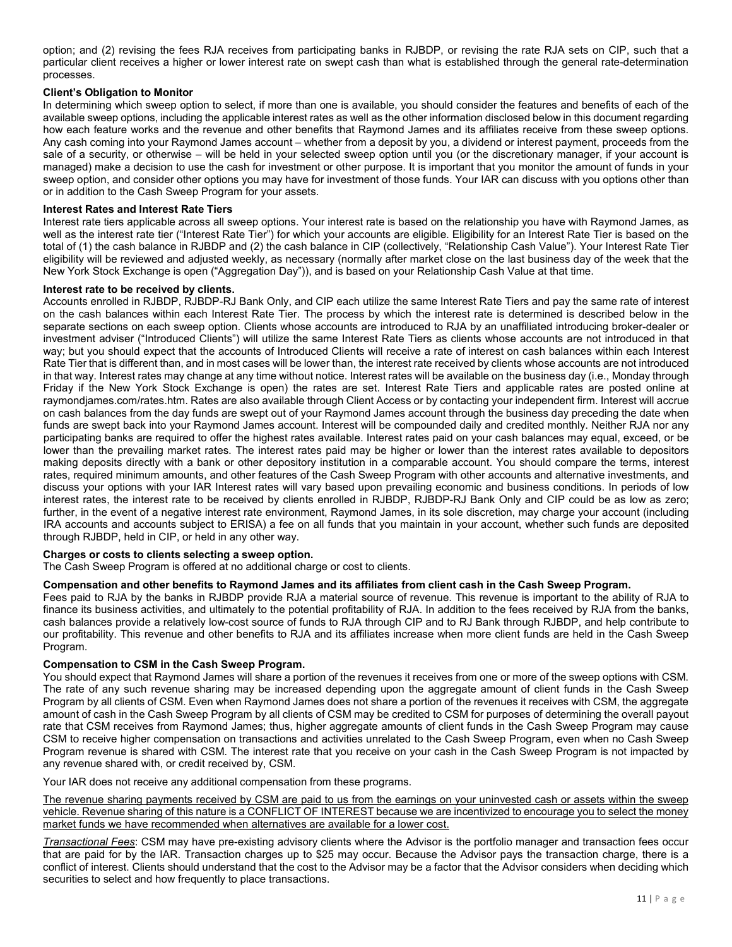option; and (2) revising the fees RJA receives from participating banks in RJBDP, or revising the rate RJA sets on CIP, such that a particular client receives a higher or lower interest rate on swept cash than what is established through the general rate-determination processes.

# **Client's Obligation to Monitor**

In determining which sweep option to select, if more than one is available, you should consider the features and benefits of each of the available sweep options, including the applicable interest rates as well as the other information disclosed below in this document regarding how each feature works and the revenue and other benefits that Raymond James and its affiliates receive from these sweep options. Any cash coming into your Raymond James account – whether from a deposit by you, a dividend or interest payment, proceeds from the sale of a security, or otherwise – will be held in your selected sweep option until you (or the discretionary manager, if your account is managed) make a decision to use the cash for investment or other purpose. It is important that you monitor the amount of funds in your sweep option, and consider other options you may have for investment of those funds. Your IAR can discuss with you options other than or in addition to the Cash Sweep Program for your assets.

#### **Interest Rates and Interest Rate Tiers**

Interest rate tiers applicable across all sweep options. Your interest rate is based on the relationship you have with Raymond James, as well as the interest rate tier ("Interest Rate Tier") for which your accounts are eligible. Eligibility for an Interest Rate Tier is based on the total of (1) the cash balance in RJBDP and (2) the cash balance in CIP (collectively, "Relationship Cash Value"). Your Interest Rate Tier eligibility will be reviewed and adjusted weekly, as necessary (normally after market close on the last business day of the week that the New York Stock Exchange is open ("Aggregation Day")), and is based on your Relationship Cash Value at that time.

#### **Interest rate to be received by clients.**

Accounts enrolled in RJBDP, RJBDP-RJ Bank Only, and CIP each utilize the same Interest Rate Tiers and pay the same rate of interest on the cash balances within each Interest Rate Tier. The process by which the interest rate is determined is described below in the separate sections on each sweep option. Clients whose accounts are introduced to RJA by an unaffiliated introducing broker-dealer or investment adviser ("Introduced Clients") will utilize the same Interest Rate Tiers as clients whose accounts are not introduced in that way; but you should expect that the accounts of Introduced Clients will receive a rate of interest on cash balances within each Interest Rate Tier that is different than, and in most cases will be lower than, the interest rate received by clients whose accounts are not introduced in that way. Interest rates may change at any time without notice. Interest rates will be available on the business day (i.e., Monday through Friday if the New York Stock Exchange is open) the rates are set. Interest Rate Tiers and applicable rates are posted online at raymondjames.com/rates.htm. Rates are also available through Client Access or by contacting your independent firm. Interest will accrue on cash balances from the day funds are swept out of your Raymond James account through the business day preceding the date when funds are swept back into your Raymond James account. Interest will be compounded daily and credited monthly. Neither RJA nor any participating banks are required to offer the highest rates available. Interest rates paid on your cash balances may equal, exceed, or be lower than the prevailing market rates. The interest rates paid may be higher or lower than the interest rates available to depositors making deposits directly with a bank or other depository institution in a comparable account. You should compare the terms, interest rates, required minimum amounts, and other features of the Cash Sweep Program with other accounts and alternative investments, and discuss your options with your IAR Interest rates will vary based upon prevailing economic and business conditions. In periods of low interest rates, the interest rate to be received by clients enrolled in RJBDP, RJBDP-RJ Bank Only and CIP could be as low as zero; further, in the event of a negative interest rate environment, Raymond James, in its sole discretion, may charge your account (including IRA accounts and accounts subject to ERISA) a fee on all funds that you maintain in your account, whether such funds are deposited through RJBDP, held in CIP, or held in any other way.

## **Charges or costs to clients selecting a sweep option.**

The Cash Sweep Program is offered at no additional charge or cost to clients.

# **Compensation and other benefits to Raymond James and its affiliates from client cash in the Cash Sweep Program.**

Fees paid to RJA by the banks in RJBDP provide RJA a material source of revenue. This revenue is important to the ability of RJA to finance its business activities, and ultimately to the potential profitability of RJA. In addition to the fees received by RJA from the banks, cash balances provide a relatively low-cost source of funds to RJA through CIP and to RJ Bank through RJBDP, and help contribute to our profitability. This revenue and other benefits to RJA and its affiliates increase when more client funds are held in the Cash Sweep Program.

## **Compensation to CSM in the Cash Sweep Program.**

You should expect that Raymond James will share a portion of the revenues it receives from one or more of the sweep options with CSM. The rate of any such revenue sharing may be increased depending upon the aggregate amount of client funds in the Cash Sweep Program by all clients of CSM. Even when Raymond James does not share a portion of the revenues it receives with CSM, the aggregate amount of cash in the Cash Sweep Program by all clients of CSM may be credited to CSM for purposes of determining the overall payout rate that CSM receives from Raymond James; thus, higher aggregate amounts of client funds in the Cash Sweep Program may cause CSM to receive higher compensation on transactions and activities unrelated to the Cash Sweep Program, even when no Cash Sweep Program revenue is shared with CSM. The interest rate that you receive on your cash in the Cash Sweep Program is not impacted by any revenue shared with, or credit received by, CSM.

Your IAR does not receive any additional compensation from these programs.

The revenue sharing payments received by CSM are paid to us from the earnings on your uninvested cash or assets within the sweep vehicle. Revenue sharing of this nature is a CONFLICT OF INTEREST because we are incentivized to encourage you to select the money market funds we have recommended when alternatives are available for a lower cost.

*Transactional Fees*: CSM may have pre-existing advisory clients where the Advisor is the portfolio manager and transaction fees occur that are paid for by the IAR. Transaction charges up to \$25 may occur. Because the Advisor pays the transaction charge, there is a conflict of interest. Clients should understand that the cost to the Advisor may be a factor that the Advisor considers when deciding which securities to select and how frequently to place transactions.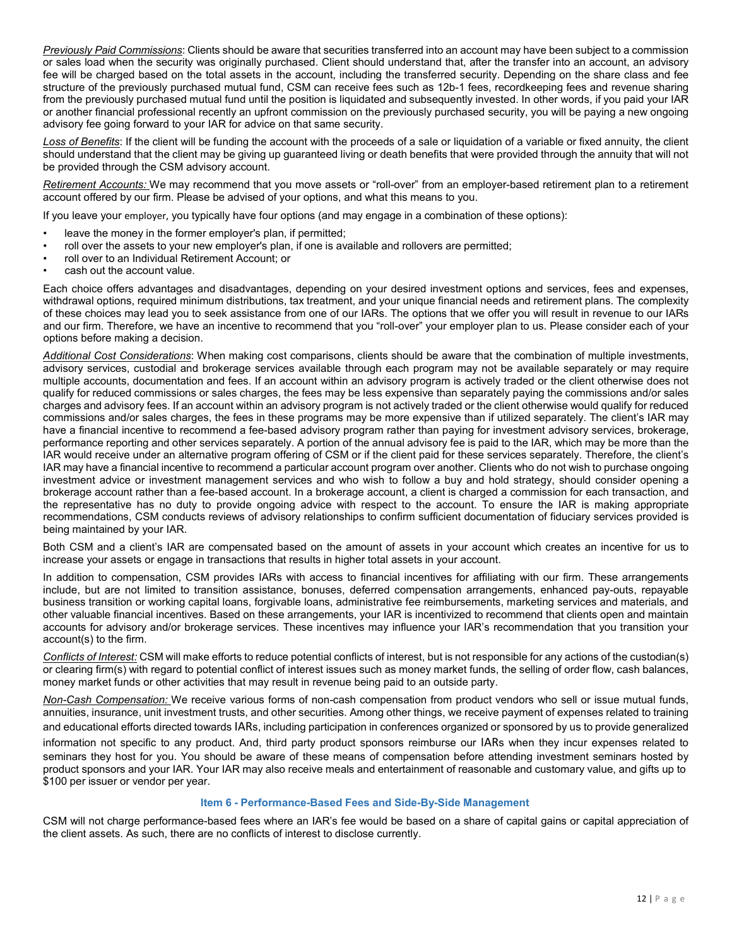*Previously Paid Commissions*: Clients should be aware that securities transferred into an account may have been subject to a commission or sales load when the security was originally purchased. Client should understand that, after the transfer into an account, an advisory fee will be charged based on the total assets in the account, including the transferred security. Depending on the share class and fee structure of the previously purchased mutual fund, CSM can receive fees such as 12b-1 fees, recordkeeping fees and revenue sharing from the previously purchased mutual fund until the position is liquidated and subsequently invested. In other words, if you paid your IAR or another financial professional recently an upfront commission on the previously purchased security, you will be paying a new ongoing advisory fee going forward to your IAR for advice on that same security.

*Loss of Benefits*: If the client will be funding the account with the proceeds of a sale or liquidation of a variable or fixed annuity, the client should understand that the client may be giving up guaranteed living or death benefits that were provided through the annuity that will not be provided through the CSM advisory account.

*Retirement Accounts:* We may recommend that you move assets or "roll-over" from an employer-based retirement plan to a retirement account offered by our firm. Please be advised of your options, and what this means to you.

If you leave your employer, you typically have four options (and may engage in a combination of these options):

- leave the money in the former employer's plan, if permitted;
- roll over the assets to your new employer's plan, if one is available and rollovers are permitted;
- roll over to an Individual Retirement Account; or
- cash out the account value.

Each choice offers advantages and disadvantages, depending on your desired investment options and services, fees and expenses, withdrawal options, required minimum distributions, tax treatment, and your unique financial needs and retirement plans. The complexity of these choices may lead you to seek assistance from one of our IARs. The options that we offer you will result in revenue to our IARs and our firm. Therefore, we have an incentive to recommend that you "roll-over" your employer plan to us. Please consider each of your options before making a decision.

*Additional Cost Considerations*: When making cost comparisons, clients should be aware that the combination of multiple investments, advisory services, custodial and brokerage services available through each program may not be available separately or may require multiple accounts, documentation and fees. If an account within an advisory program is actively traded or the client otherwise does not qualify for reduced commissions or sales charges, the fees may be less expensive than separately paying the commissions and/or sales charges and advisory fees. If an account within an advisory program is not actively traded or the client otherwise would qualify for reduced commissions and/or sales charges, the fees in these programs may be more expensive than if utilized separately. The client's IAR may have a financial incentive to recommend a fee-based advisory program rather than paying for investment advisory services, brokerage, performance reporting and other services separately. A portion of the annual advisory fee is paid to the IAR, which may be more than the IAR would receive under an alternative program offering of CSM or if the client paid for these services separately. Therefore, the client's IAR may have a financial incentive to recommend a particular account program over another. Clients who do not wish to purchase ongoing investment advice or investment management services and who wish to follow a buy and hold strategy, should consider opening a brokerage account rather than a fee-based account. In a brokerage account, a client is charged a commission for each transaction, and the representative has no duty to provide ongoing advice with respect to the account. To ensure the IAR is making appropriate recommendations, CSM conducts reviews of advisory relationships to confirm sufficient documentation of fiduciary services provided is being maintained by your IAR.

Both CSM and a client's IAR are compensated based on the amount of assets in your account which creates an incentive for us to increase your assets or engage in transactions that results in higher total assets in your account.

In addition to compensation, CSM provides IARs with access to financial incentives for affiliating with our firm. These arrangements include, but are not limited to transition assistance, bonuses, deferred compensation arrangements, enhanced pay-outs, repayable business transition or working capital loans, forgivable loans, administrative fee reimbursements, marketing services and materials, and other valuable financial incentives. Based on these arrangements, your IAR is incentivized to recommend that clients open and maintain accounts for advisory and/or brokerage services. These incentives may influence your IAR's recommendation that you transition your account(s) to the firm.

*Conflicts of Interest:* CSM will make efforts to reduce potential conflicts of interest, but is not responsible for any actions of the custodian(s) or clearing firm(s) with regard to potential conflict of interest issues such as money market funds, the selling of order flow, cash balances, money market funds or other activities that may result in revenue being paid to an outside party.

*Non-Cash Compensation:* We receive various forms of non-cash compensation from product vendors who sell or issue mutual funds, annuities, insurance, unit investment trusts, and other securities. Among other things, we receive payment of expenses related to training and educational efforts directed towards IARs, including participation in conferences organized or sponsored by us to provide generalized

information not specific to any product. And, third party product sponsors reimburse our IARs when they incur expenses related to seminars they host for you. You should be aware of these means of compensation before attending investment seminars hosted by product sponsors and your IAR. Your IAR may also receive meals and entertainment of reasonable and customary value, and gifts up to \$100 per issuer or vendor per year.

#### **Item 6 - Performance-Based Fees and Side-By-Side Management**

<span id="page-11-0"></span>CSM will not charge performance-based fees where an IAR's fee would be based on a share of capital gains or capital appreciation of the client assets. As such, there are no conflicts of interest to disclose currently.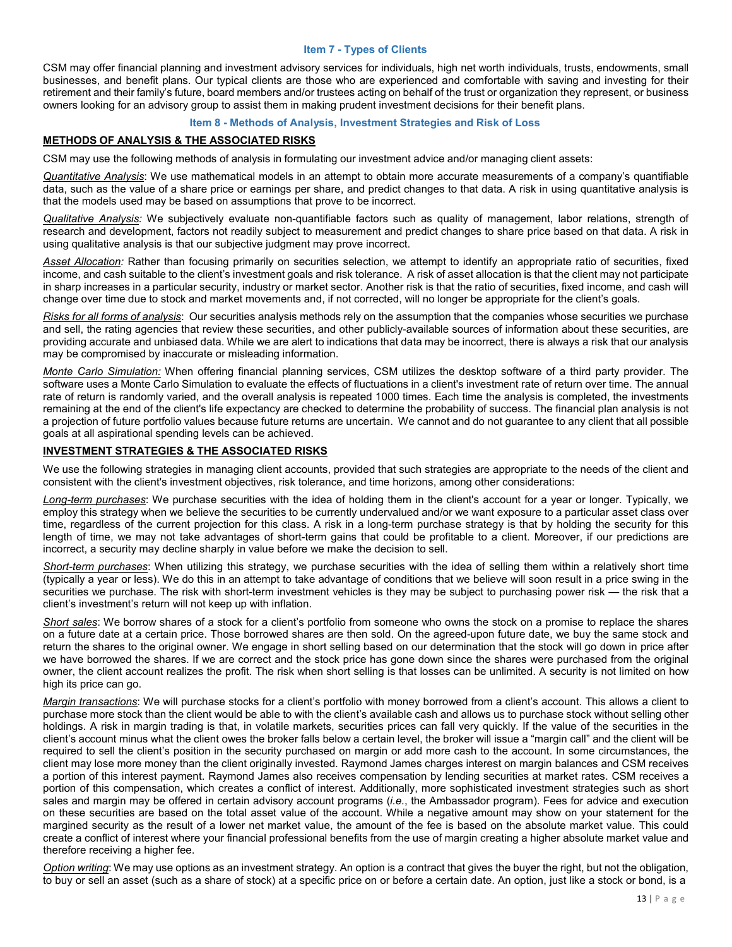#### **Item 7 - Types of Clients**

<span id="page-12-0"></span>CSM may offer financial planning and investment advisory services for individuals, high net worth individuals, trusts, endowments, small businesses, and benefit plans. Our typical clients are those who are experienced and comfortable with saving and investing for their retirement and their family's future, board members and/or trustees acting on behalf of the trust or organization they represent, or business owners looking for an advisory group to assist them in making prudent investment decisions for their benefit plans.

#### **Item 8 - Methods of Analysis, Investment Strategies and Risk of Loss**

## <span id="page-12-1"></span>**METHODS OF ANALYSIS & THE ASSOCIATED RISKS**

CSM may use the following methods of analysis in formulating our investment advice and/or managing client assets:

*Quantitative Analysis*: We use mathematical models in an attempt to obtain more accurate measurements of a company's quantifiable data, such as the value of a share price or earnings per share, and predict changes to that data. A risk in using quantitative analysis is that the models used may be based on assumptions that prove to be incorrect.

*Qualitative Analysis:* We subjectively evaluate non-quantifiable factors such as quality of management, labor relations, strength of research and development, factors not readily subject to measurement and predict changes to share price based on that data. A risk in using qualitative analysis is that our subjective judgment may prove incorrect.

*Asset Allocation:* Rather than focusing primarily on securities selection, we attempt to identify an appropriate ratio of securities, fixed income, and cash suitable to the client's investment goals and risk tolerance. A risk of asset allocation is that the client may not participate in sharp increases in a particular security, industry or market sector. Another risk is that the ratio of securities, fixed income, and cash will change over time due to stock and market movements and, if not corrected, will no longer be appropriate for the client's goals.

*Risks for all forms of analysis*: Our securities analysis methods rely on the assumption that the companies whose securities we purchase and sell, the rating agencies that review these securities, and other publicly-available sources of information about these securities, are providing accurate and unbiased data. While we are alert to indications that data may be incorrect, there is always a risk that our analysis may be compromised by inaccurate or misleading information.

*Monte Carlo Simulation:* When offering financial planning services, CSM utilizes the desktop software of a third party provider. The software uses a Monte Carlo Simulation to evaluate the effects of fluctuations in a client's investment rate of return over time. The annual rate of return is randomly varied, and the overall analysis is repeated 1000 times. Each time the analysis is completed, the investments remaining at the end of the client's life expectancy are checked to determine the probability of success. The financial plan analysis is not a projection of future portfolio values because future returns are uncertain. We cannot and do not guarantee to any client that all possible goals at all aspirational spending levels can be achieved.

# **INVESTMENT STRATEGIES & THE ASSOCIATED RISKS**

We use the following strategies in managing client accounts, provided that such strategies are appropriate to the needs of the client and consistent with the client's investment objectives, risk tolerance, and time horizons, among other considerations:

*Long-term purchases*: We purchase securities with the idea of holding them in the client's account for a year or longer. Typically, we employ this strategy when we believe the securities to be currently undervalued and/or we want exposure to a particular asset class over time, regardless of the current projection for this class. A risk in a long-term purchase strategy is that by holding the security for this length of time, we may not take advantages of short-term gains that could be profitable to a client. Moreover, if our predictions are incorrect, a security may decline sharply in value before we make the decision to sell.

*Short-term purchases*: When utilizing this strategy, we purchase securities with the idea of selling them within a relatively short time (typically a year or less). We do this in an attempt to take advantage of conditions that we believe will soon result in a price swing in the securities we purchase. The risk with short-term investment vehicles is they may be subject to purchasing power risk — the risk that a client's investment's return will not keep up with inflation.

*Short sales*: We borrow shares of a stock for a client's portfolio from someone who owns the stock on a promise to replace the shares on a future date at a certain price. Those borrowed shares are then sold. On the agreed-upon future date, we buy the same stock and return the shares to the original owner. We engage in short selling based on our determination that the stock will go down in price after we have borrowed the shares. If we are correct and the stock price has gone down since the shares were purchased from the original owner, the client account realizes the profit. The risk when short selling is that losses can be unlimited. A security is not limited on how high its price can go.

*Margin transactions*: We will purchase stocks for a client's portfolio with money borrowed from a client's account. This allows a client to purchase more stock than the client would be able to with the client's available cash and allows us to purchase stock without selling other holdings. A risk in margin trading is that, in volatile markets, securities prices can fall very quickly. If the value of the securities in the client's account minus what the client owes the broker falls below a certain level, the broker will issue a "margin call" and the client will be required to sell the client's position in the security purchased on margin or add more cash to the account. In some circumstances, the client may lose more money than the client originally invested. Raymond James charges interest on margin balances and CSM receives a portion of this interest payment. Raymond James also receives compensation by lending securities at market rates. CSM receives a portion of this compensation, which creates a conflict of interest. Additionally, more sophisticated investment strategies such as short sales and margin may be offered in certain advisory account programs (*i.e.*, the Ambassador program). Fees for advice and execution on these securities are based on the total asset value of the account. While a negative amount may show on your statement for the margined security as the result of a lower net market value, the amount of the fee is based on the absolute market value. This could create a conflict of interest where your financial professional benefits from the use of margin creating a higher absolute market value and therefore receiving a higher fee.

*Option writing*: We may use options as an investment strategy. An option is a contract that gives the buyer the right, but not the obligation, to buy or sell an asset (such as a share of stock) at a specific price on or before a certain date. An option, just like a stock or bond, is a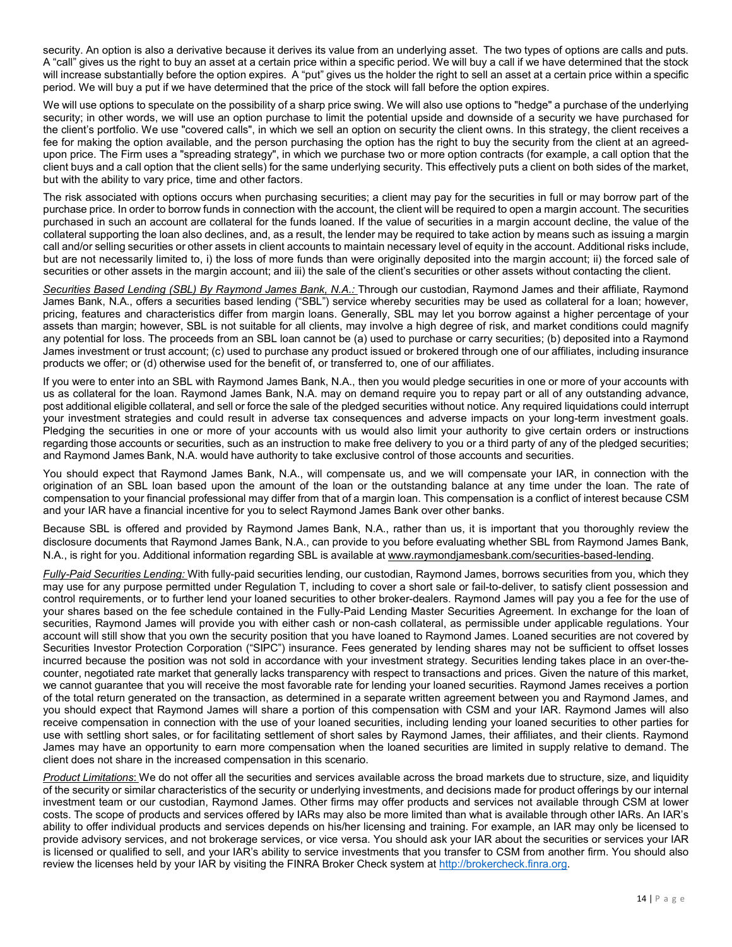security. An option is also a derivative because it derives its value from an underlying asset. The two types of options are calls and puts. A "call" gives us the right to buy an asset at a certain price within a specific period. We will buy a call if we have determined that the stock will increase substantially before the option expires. A "put" gives us the holder the right to sell an asset at a certain price within a specific period. We will buy a put if we have determined that the price of the stock will fall before the option expires.

We will use options to speculate on the possibility of a sharp price swing. We will also use options to "hedge" a purchase of the underlying security; in other words, we will use an option purchase to limit the potential upside and downside of a security we have purchased for the client's portfolio. We use "covered calls", in which we sell an option on security the client owns. In this strategy, the client receives a fee for making the option available, and the person purchasing the option has the right to buy the security from the client at an agreedupon price. The Firm uses a "spreading strategy", in which we purchase two or more option contracts (for example, a call option that the client buys and a call option that the client sells) for the same underlying security. This effectively puts a client on both sides of the market, but with the ability to vary price, time and other factors.

The risk associated with options occurs when purchasing securities; a client may pay for the securities in full or may borrow part of the purchase price. In order to borrow funds in connection with the account, the client will be required to open a margin account. The securities purchased in such an account are collateral for the funds loaned. If the value of securities in a margin account decline, the value of the collateral supporting the loan also declines, and, as a result, the lender may be required to take action by means such as issuing a margin call and/or selling securities or other assets in client accounts to maintain necessary level of equity in the account. Additional risks include, but are not necessarily limited to, i) the loss of more funds than were originally deposited into the margin account; ii) the forced sale of securities or other assets in the margin account; and iii) the sale of the client's securities or other assets without contacting the client.

*Securities Based Lending (SBL) By Raymond James Bank, N.A.:* Through our custodian, Raymond James and their affiliate, Raymond James Bank, N.A., offers a securities based lending ("SBL") service whereby securities may be used as collateral for a loan; however, pricing, features and characteristics differ from margin loans. Generally, SBL may let you borrow against a higher percentage of your assets than margin; however, SBL is not suitable for all clients, may involve a high degree of risk, and market conditions could magnify any potential for loss. The proceeds from an SBL loan cannot be (a) used to purchase or carry securities; (b) deposited into a Raymond James investment or trust account; (c) used to purchase any product issued or brokered through one of our affiliates, including insurance products we offer; or (d) otherwise used for the benefit of, or transferred to, one of our affiliates.

If you were to enter into an SBL with Raymond James Bank, N.A., then you would pledge securities in one or more of your accounts with us as collateral for the loan. Raymond James Bank, N.A. may on demand require you to repay part or all of any outstanding advance, post additional eligible collateral, and sell or force the sale of the pledged securities without notice. Any required liquidations could interrupt your investment strategies and could result in adverse tax consequences and adverse impacts on your long-term investment goals. Pledging the securities in one or more of your accounts with us would also limit your authority to give certain orders or instructions regarding those accounts or securities, such as an instruction to make free delivery to you or a third party of any of the pledged securities; and Raymond James Bank, N.A. would have authority to take exclusive control of those accounts and securities.

You should expect that Raymond James Bank, N.A., will compensate us, and we will compensate your IAR, in connection with the origination of an SBL loan based upon the amount of the loan or the outstanding balance at any time under the loan. The rate of compensation to your financial professional may differ from that of a margin loan. This compensation is a conflict of interest because CSM and your IAR have a financial incentive for you to select Raymond James Bank over other banks.

Because SBL is offered and provided by Raymond James Bank, N.A., rather than us, it is important that you thoroughly review the disclosure documents that Raymond James Bank, N.A., can provide to you before evaluating whether SBL from Raymond James Bank, N.A., is right for you. Additional information regarding SBL is available at [www.raymondjamesbank.com/securities-based-lending.](https://www.raymondjamesbank.com/securities-based-lending)

*Fully-Paid Securities Lending:* With fully-paid securities lending, our custodian, Raymond James, borrows securities from you, which they may use for any purpose permitted under Regulation T, including to cover a short sale or fail-to-deliver, to satisfy client possession and control requirements, or to further lend your loaned securities to other broker-dealers. Raymond James will pay you a fee for the use of your shares based on the fee schedule contained in the Fully-Paid Lending Master Securities Agreement. In exchange for the loan of securities, Raymond James will provide you with either cash or non-cash collateral, as permissible under applicable regulations. Your account will still show that you own the security position that you have loaned to Raymond James. Loaned securities are not covered by Securities Investor Protection Corporation ("SIPC") insurance. Fees generated by lending shares may not be sufficient to offset losses incurred because the position was not sold in accordance with your investment strategy. Securities lending takes place in an over-thecounter, negotiated rate market that generally lacks transparency with respect to transactions and prices. Given the nature of this market, we cannot guarantee that you will receive the most favorable rate for lending your loaned securities. Raymond James receives a portion of the total return generated on the transaction, as determined in a separate written agreement between you and Raymond James, and you should expect that Raymond James will share a portion of this compensation with CSM and your IAR. Raymond James will also receive compensation in connection with the use of your loaned securities, including lending your loaned securities to other parties for use with settling short sales, or for facilitating settlement of short sales by Raymond James, their affiliates, and their clients. Raymond James may have an opportunity to earn more compensation when the loaned securities are limited in supply relative to demand. The client does not share in the increased compensation in this scenario.

*Product Limitations*: We do not offer all the securities and services available across the broad markets due to structure, size, and liquidity of the security or similar characteristics of the security or underlying investments, and decisions made for product offerings by our internal investment team or our custodian, Raymond James. Other firms may offer products and services not available through CSM at lower costs. The scope of products and services offered by IARs may also be more limited than what is available through other IARs. An IAR's ability to offer individual products and services depends on his/her licensing and training. For example, an IAR may only be licensed to provide advisory services, and not brokerage services, or vice versa. You should ask your IAR about the securities or services your IAR is licensed or qualified to sell, and your IAR's ability to service investments that you transfer to CSM from another firm. You should also review the licenses held by your IAR by visiting the FINRA Broker Check system a[t http://brokercheck.finra.org.](http://brokercheck.finra.org/)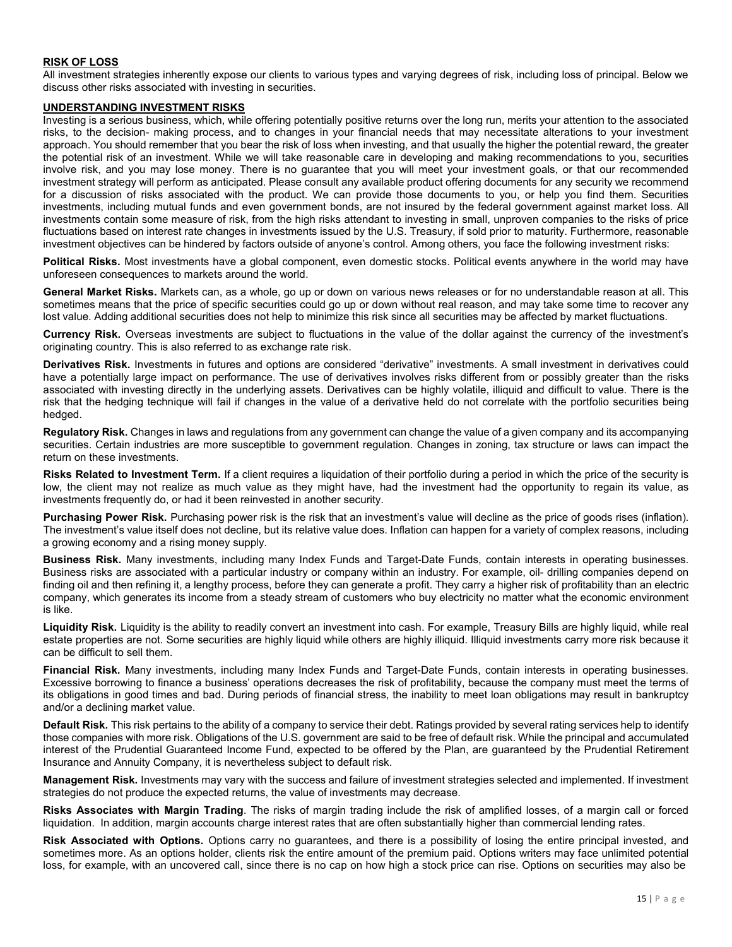# **RISK OF LOSS**

All investment strategies inherently expose our clients to various types and varying degrees of risk, including loss of principal. Below we discuss other risks associated with investing in securities.

#### **UNDERSTANDING INVESTMENT RISKS**

Investing is a serious business, which, while offering potentially positive returns over the long run, merits your attention to the associated risks, to the decision- making process, and to changes in your financial needs that may necessitate alterations to your investment approach. You should remember that you bear the risk of loss when investing, and that usually the higher the potential reward, the greater the potential risk of an investment. While we will take reasonable care in developing and making recommendations to you, securities involve risk, and you may lose money. There is no guarantee that you will meet your investment goals, or that our recommended investment strategy will perform as anticipated. Please consult any available product offering documents for any security we recommend for a discussion of risks associated with the product. We can provide those documents to you, or help you find them. Securities investments, including mutual funds and even government bonds, are not insured by the federal government against market loss. All investments contain some measure of risk, from the high risks attendant to investing in small, unproven companies to the risks of price fluctuations based on interest rate changes in investments issued by the U.S. Treasury, if sold prior to maturity. Furthermore, reasonable investment objectives can be hindered by factors outside of anyone's control. Among others, you face the following investment risks:

**Political Risks.** Most investments have a global component, even domestic stocks. Political events anywhere in the world may have unforeseen consequences to markets around the world.

**General Market Risks.** Markets can, as a whole, go up or down on various news releases or for no understandable reason at all. This sometimes means that the price of specific securities could go up or down without real reason, and may take some time to recover any lost value. Adding additional securities does not help to minimize this risk since all securities may be affected by market fluctuations.

**Currency Risk.** Overseas investments are subject to fluctuations in the value of the dollar against the currency of the investment's originating country. This is also referred to as exchange rate risk.

**Derivatives Risk.** Investments in futures and options are considered "derivative" investments. A small investment in derivatives could have a potentially large impact on performance. The use of derivatives involves risks different from or possibly greater than the risks associated with investing directly in the underlying assets. Derivatives can be highly volatile, illiquid and difficult to value. There is the risk that the hedging technique will fail if changes in the value of a derivative held do not correlate with the portfolio securities being hedged.

**Regulatory Risk.** Changes in laws and regulations from any government can change the value of a given company and its accompanying securities. Certain industries are more susceptible to government regulation. Changes in zoning, tax structure or laws can impact the return on these investments.

**Risks Related to Investment Term.** If a client requires a liquidation of their portfolio during a period in which the price of the security is low, the client may not realize as much value as they might have, had the investment had the opportunity to regain its value, as investments frequently do, or had it been reinvested in another security.

**Purchasing Power Risk.** Purchasing power risk is the risk that an investment's value will decline as the price of goods rises (inflation). The investment's value itself does not decline, but its relative value does. Inflation can happen for a variety of complex reasons, including a growing economy and a rising money supply.

**Business Risk.** Many investments, including many Index Funds and Target-Date Funds, contain interests in operating businesses. Business risks are associated with a particular industry or company within an industry. For example, oil- drilling companies depend on finding oil and then refining it, a lengthy process, before they can generate a profit. They carry a higher risk of profitability than an electric company, which generates its income from a steady stream of customers who buy electricity no matter what the economic environment is like.

**Liquidity Risk.** Liquidity is the ability to readily convert an investment into cash. For example, Treasury Bills are highly liquid, while real estate properties are not. Some securities are highly liquid while others are highly illiquid. Illiquid investments carry more risk because it can be difficult to sell them.

**Financial Risk.** Many investments, including many Index Funds and Target-Date Funds, contain interests in operating businesses. Excessive borrowing to finance a business' operations decreases the risk of profitability, because the company must meet the terms of its obligations in good times and bad. During periods of financial stress, the inability to meet loan obligations may result in bankruptcy and/or a declining market value.

**Default Risk.** This risk pertains to the ability of a company to service their debt. Ratings provided by several rating services help to identify those companies with more risk. Obligations of the U.S. government are said to be free of default risk. While the principal and accumulated interest of the Prudential Guaranteed Income Fund, expected to be offered by the Plan, are guaranteed by the Prudential Retirement Insurance and Annuity Company, it is nevertheless subject to default risk.

**Management Risk.** Investments may vary with the success and failure of investment strategies selected and implemented. If investment strategies do not produce the expected returns, the value of investments may decrease.

**Risks Associates with Margin Trading**. The risks of margin trading include the risk of amplified losses, of a margin call or forced liquidation. In addition, margin accounts charge interest rates that are often substantially higher than commercial lending rates.

**Risk Associated with Options.** Options carry no guarantees, and there is a possibility of losing the entire principal invested, and sometimes more. As an options holder, clients risk the entire amount of the premium paid. Options writers may face unlimited potential loss, for example, with an uncovered call, since there is no cap on how high a stock price can rise. Options on securities may also be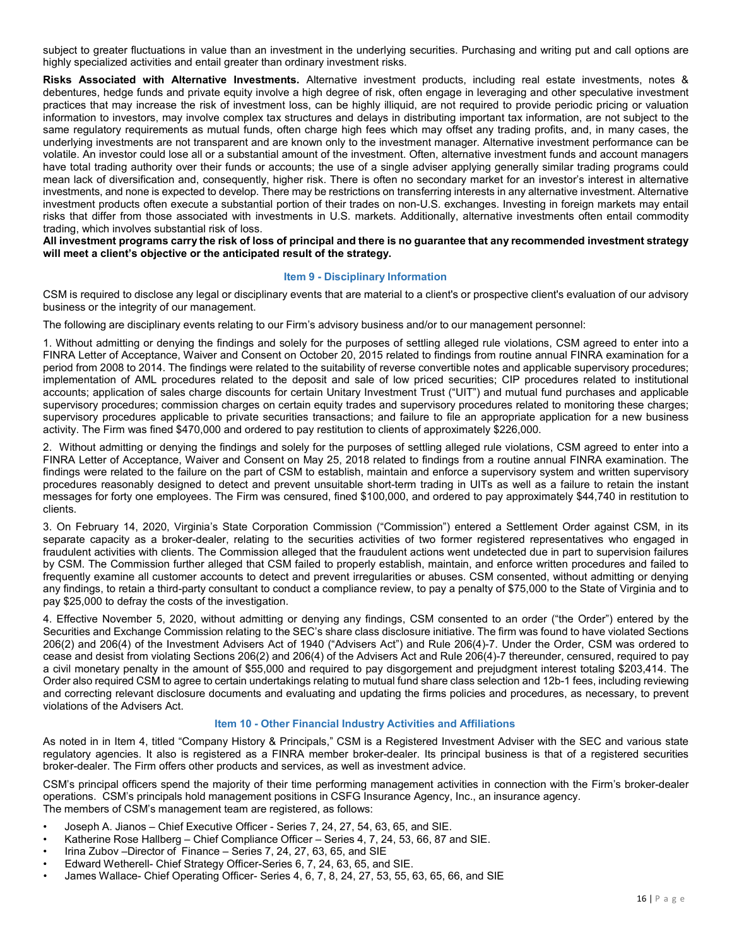subject to greater fluctuations in value than an investment in the underlying securities. Purchasing and writing put and call options are highly specialized activities and entail greater than ordinary investment risks.

**Risks Associated with Alternative Investments.** Alternative investment products, including real estate investments, notes & debentures, hedge funds and private equity involve a high degree of risk, often engage in leveraging and other speculative investment practices that may increase the risk of investment loss, can be highly illiquid, are not required to provide periodic pricing or valuation information to investors, may involve complex tax structures and delays in distributing important tax information, are not subject to the same regulatory requirements as mutual funds, often charge high fees which may offset any trading profits, and, in many cases, the underlying investments are not transparent and are known only to the investment manager. Alternative investment performance can be volatile. An investor could lose all or a substantial amount of the investment. Often, alternative investment funds and account managers have total trading authority over their funds or accounts; the use of a single adviser applying generally similar trading programs could mean lack of diversification and, consequently, higher risk. There is often no secondary market for an investor's interest in alternative investments, and none is expected to develop. There may be restrictions on transferring interests in any alternative investment. Alternative investment products often execute a substantial portion of their trades on non-U.S. exchanges. Investing in foreign markets may entail risks that differ from those associated with investments in U.S. markets. Additionally, alternative investments often entail commodity trading, which involves substantial risk of loss.

All investment programs carry the risk of loss of principal and there is no guarantee that any recommended investment strategy **will meet a client's objective or the anticipated result of the strategy.**

## **Item 9 - Disciplinary Information**

<span id="page-15-0"></span>CSM is required to disclose any legal or disciplinary events that are material to a client's or prospective client's evaluation of our advisory business or the integrity of our management.

The following are disciplinary events relating to our Firm's advisory business and/or to our management personnel:

1. Without admitting or denying the findings and solely for the purposes of settling alleged rule violations, CSM agreed to enter into a FINRA Letter of Acceptance, Waiver and Consent on October 20, 2015 related to findings from routine annual FINRA examination for a period from 2008 to 2014. The findings were related to the suitability of reverse convertible notes and applicable supervisory procedures; implementation of AML procedures related to the deposit and sale of low priced securities; CIP procedures related to institutional accounts; application of sales charge discounts for certain Unitary Investment Trust ("UIT") and mutual fund purchases and applicable supervisory procedures; commission charges on certain equity trades and supervisory procedures related to monitoring these charges; supervisory procedures applicable to private securities transactions; and failure to file an appropriate application for a new business activity. The Firm was fined \$470,000 and ordered to pay restitution to clients of approximately \$226,000.

2. Without admitting or denying the findings and solely for the purposes of settling alleged rule violations, CSM agreed to enter into a FINRA Letter of Acceptance, Waiver and Consent on May 25, 2018 related to findings from a routine annual FINRA examination. The findings were related to the failure on the part of CSM to establish, maintain and enforce a supervisory system and written supervisory procedures reasonably designed to detect and prevent unsuitable short-term trading in UITs as well as a failure to retain the instant messages for forty one employees. The Firm was censured, fined \$100,000, and ordered to pay approximately \$44,740 in restitution to clients.

3. On February 14, 2020, Virginia's State Corporation Commission ("Commission") entered a Settlement Order against CSM, in its separate capacity as a broker-dealer, relating to the securities activities of two former registered representatives who engaged in fraudulent activities with clients. The Commission alleged that the fraudulent actions went undetected due in part to supervision failures by CSM. The Commission further alleged that CSM failed to properly establish, maintain, and enforce written procedures and failed to frequently examine all customer accounts to detect and prevent irregularities or abuses. CSM consented, without admitting or denying any findings, to retain a third-party consultant to conduct a compliance review, to pay a penalty of \$75,000 to the State of Virginia and to pay \$25,000 to defray the costs of the investigation.

4. Effective November 5, 2020, without admitting or denying any findings, CSM consented to an order ("the Order") entered by the Securities and Exchange Commission relating to the SEC's share class disclosure initiative. The firm was found to have violated Sections 206(2) and 206(4) of the Investment Advisers Act of 1940 ("Advisers Act") and Rule 206(4)-7. Under the Order, CSM was ordered to cease and desist from violating Sections 206(2) and 206(4) of the Advisers Act and Rule 206(4)-7 thereunder, censured, required to pay a civil monetary penalty in the amount of \$55,000 and required to pay disgorgement and prejudgment interest totaling \$203,414. The Order also required CSM to agree to certain undertakings relating to mutual fund share class selection and 12b-1 fees, including reviewing and correcting relevant disclosure documents and evaluating and updating the firms policies and procedures, as necessary, to prevent violations of the Advisers Act.

# **Item 10 - Other Financial Industry Activities and Affiliations**

<span id="page-15-1"></span>As noted in in Item 4, titled "Company History & Principals," CSM is a Registered Investment Adviser with the SEC and various state regulatory agencies. It also is registered as a FINRA member broker-dealer. Its principal business is that of a registered securities broker-dealer. The Firm offers other products and services, as well as investment advice.

CSM's principal officers spend the majority of their time performing management activities in connection with the Firm's broker-dealer operations. CSM's principals hold management positions in CSFG Insurance Agency, Inc., an insurance agency. The members of CSM's management team are registered, as follows:

- Joseph A. Jianos Chief Executive Officer Series 7, 24, 27, 54, 63, 65, and SIE.
- Katherine Rose Hallberg Chief Compliance Officer Series 4, 7, 24, 53, 66, 87 and SIE.
- Irina Zubov –Director of Finance Series 7, 24, 27, 63, 65, and SIE
- Edward Wetherell- Chief Strategy Officer-Series 6, 7, 24, 63, 65, and SIE.
- James Wallace- Chief Operating Officer- Series 4, 6, 7, 8, 24, 27, 53, 55, 63, 65, 66, and SIE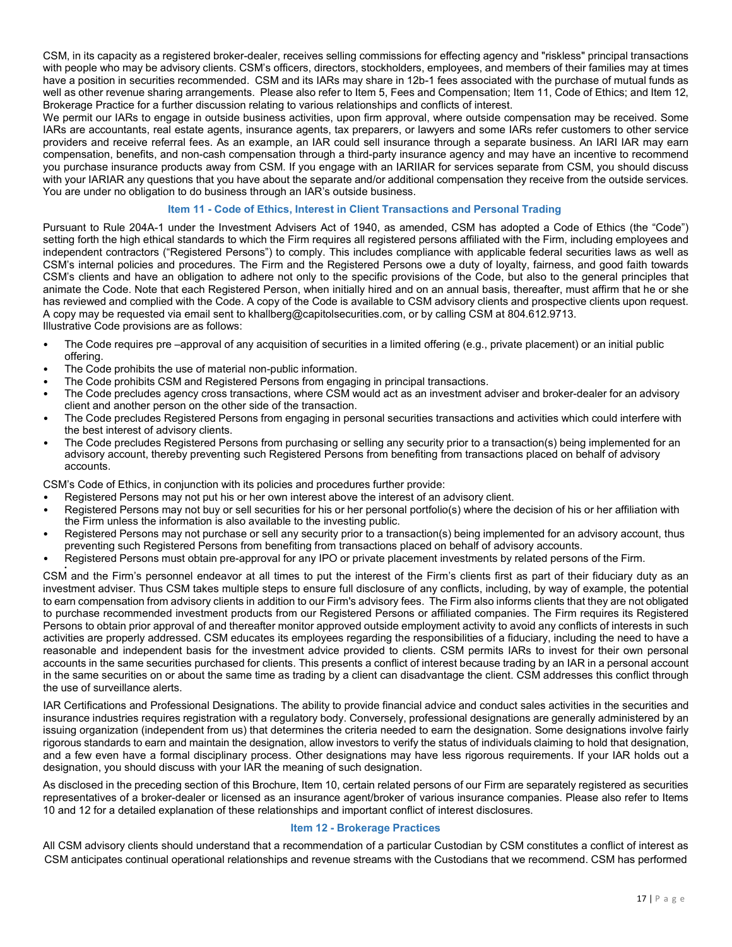CSM, in its capacity as a registered broker-dealer, receives selling commissions for effecting agency and "riskless" principal transactions with people who may be advisory clients. CSM's officers, directors, stockholders, employees, and members of their families may at times have a position in securities recommended. CSM and its IARs may share in 12b-1 fees associated with the purchase of mutual funds as well as other revenue sharing arrangements. Please also refer to Item 5, Fees and Compensation; Item 11, Code of Ethics; and Item 12, Brokerage Practice for a further discussion relating to various relationships and conflicts of interest.

We permit our IARs to engage in outside business activities, upon firm approval, where outside compensation may be received. Some IARs are accountants, real estate agents, insurance agents, tax preparers, or lawyers and some IARs refer customers to other service providers and receive referral fees. As an example, an IAR could sell insurance through a separate business. An IARI IAR may earn compensation, benefits, and non-cash compensation through a third-party insurance agency and may have an incentive to recommend you purchase insurance products away from CSM. If you engage with an IARIIAR for services separate from CSM, you should discuss with your IARIAR any questions that you have about the separate and/or additional compensation they receive from the outside services. You are under no obligation to do business through an IAR's outside business.

# **Item 11 - Code of Ethics, Interest in Client Transactions and Personal Trading**

<span id="page-16-0"></span>Pursuant to Rule 204A-1 under the Investment Advisers Act of 1940, as amended, CSM has adopted a Code of Ethics (the "Code") setting forth the high ethical standards to which the Firm requires all registered persons affiliated with the Firm, including employees and independent contractors ("Registered Persons") to comply. This includes compliance with applicable federal securities laws as well as CSM's internal policies and procedures. The Firm and the Registered Persons owe a duty of loyalty, fairness, and good faith towards CSM's clients and have an obligation to adhere not only to the specific provisions of the Code, but also to the general principles that animate the Code. Note that each Registered Person, when initially hired and on an annual basis, thereafter, must affirm that he or she has reviewed and complied with the Code. A copy of the Code is available to CSM advisory clients and prospective clients upon request. A copy may be requested via email sent to [khallberg@capitolsecurities.com,](mailto:khallberg@capitolsecurities.com) or by calling CSM at 804.612.9713.

Illustrative Code provisions are as follows:

- The Code requires pre –approval of any acquisition of securities in a limited offering (e.g., private placement) or an initial public offering.
- The Code prohibits the use of material non-public information.
- The Code prohibits CSM and Registered Persons from engaging in principal transactions.
- The Code precludes agency cross transactions, where CSM would act as an investment adviser and broker-dealer for an advisory client and another person on the other side of the transaction.
- The Code precludes Registered Persons from engaging in personal securities transactions and activities which could interfere with the best interest of advisory clients.
- The Code precludes Registered Persons from purchasing or selling any security prior to a transaction(s) being implemented for an advisory account, thereby preventing such Registered Persons from benefiting from transactions placed on behalf of advisory accounts.

CSM's Code of Ethics, in conjunction with its policies and procedures further provide:

- Registered Persons may not put his or her own interest above the interest of an advisory client.
- Registered Persons may not buy or sell securities for his or her personal portfolio(s) where the decision of his or her affiliation with the Firm unless the information is also available to the investing public.
- Registered Persons may not purchase or sell any security prior to a transaction(s) being implemented for an advisory account, thus preventing such Registered Persons from benefiting from transactions placed on behalf of advisory accounts.
- Registered Persons must obtain pre-approval for any IPO or private placement investments by related persons of the Firm.

• CSM and the Firm's personnel endeavor at all times to put the interest of the Firm's clients first as part of their fiduciary duty as an investment adviser. Thus CSM takes multiple steps to ensure full disclosure of any conflicts, including, by way of example, the potential to earn compensation from advisory clients in addition to our Firm's advisory fees. The Firm also informs clients that they are not obligated to purchase recommended investment products from our Registered Persons or affiliated companies. The Firm requires its Registered Persons to obtain prior approval of and thereafter monitor approved outside employment activity to avoid any conflicts of interests in such activities are properly addressed. CSM educates its employees regarding the responsibilities of a fiduciary, including the need to have a reasonable and independent basis for the investment advice provided to clients. CSM permits IARs to invest for their own personal accounts in the same securities purchased for clients. This presents a conflict of interest because trading by an IAR in a personal account in the same securities on or about the same time as trading by a client can disadvantage the client. CSM addresses this conflict through the use of surveillance alerts.

IAR Certifications and Professional Designations. The ability to provide financial advice and conduct sales activities in the securities and insurance industries requires registration with a regulatory body. Conversely, professional designations are generally administered by an issuing organization (independent from us) that determines the criteria needed to earn the designation. Some designations involve fairly rigorous standards to earn and maintain the designation, allow investors to verify the status of individuals claiming to hold that designation, and a few even have a formal disciplinary process. Other designations may have less rigorous requirements. If your IAR holds out a designation, you should discuss with your IAR the meaning of such designation.

As disclosed in the preceding section of this Brochure, Item 10, certain related persons of our Firm are separately registered as securities representatives of a broker-dealer or licensed as an insurance agent/broker of various insurance companies. Please also refer to Items 10 and 12 for a detailed explanation of these relationships and important conflict of interest disclosures.

## **Item 12 - Brokerage Practices**

<span id="page-16-1"></span>All CSM advisory clients should understand that a recommendation of a particular Custodian by CSM constitutes a conflict of interest as CSM anticipates continual operational relationships and revenue streams with the Custodians that we recommend. CSM has performed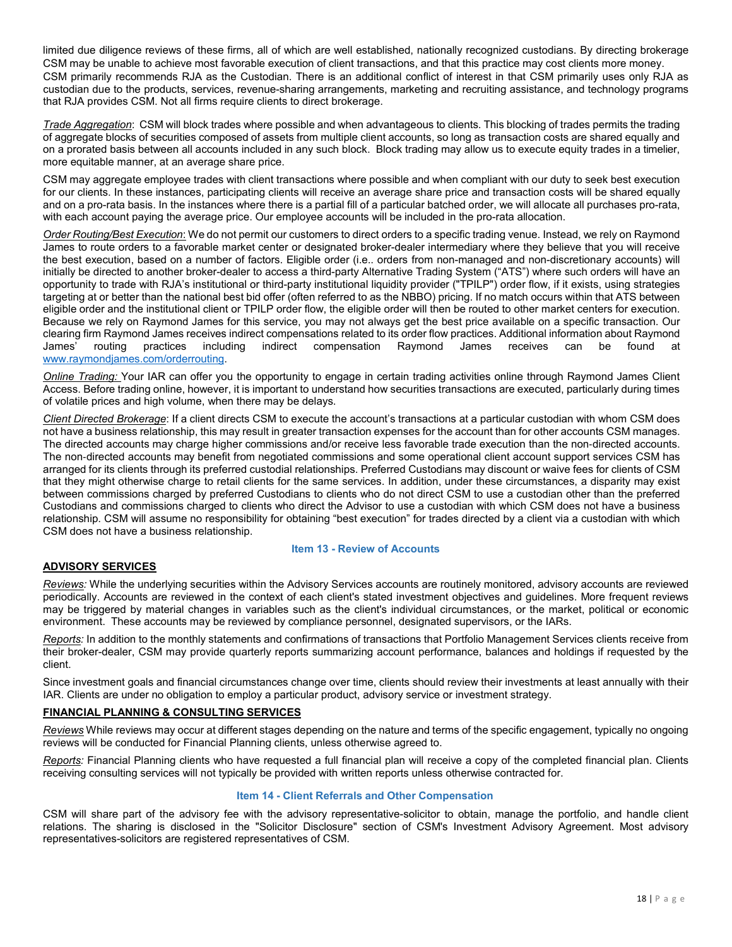limited due diligence reviews of these firms, all of which are well established, nationally recognized custodians. By directing brokerage CSM may be unable to achieve most favorable execution of client transactions, and that this practice may cost clients more money. CSM primarily recommends RJA as the Custodian. There is an additional conflict of interest in that CSM primarily uses only RJA as custodian due to the products, services, revenue-sharing arrangements, marketing and recruiting assistance, and technology programs that RJA provides CSM. Not all firms require clients to direct brokerage.

*Trade Aggregation*: CSM will block trades where possible and when advantageous to clients. This blocking of trades permits the trading of aggregate blocks of securities composed of assets from multiple client accounts, so long as transaction costs are shared equally and on a prorated basis between all accounts included in any such block. Block trading may allow us to execute equity trades in a timelier, more equitable manner, at an average share price.

CSM may aggregate employee trades with client transactions where possible and when compliant with our duty to seek best execution for our clients. In these instances, participating clients will receive an average share price and transaction costs will be shared equally and on a pro-rata basis. In the instances where there is a partial fill of a particular batched order, we will allocate all purchases pro-rata, with each account paying the average price. Our employee accounts will be included in the pro-rata allocation.

*Order Routing/Best Execution*: We do not permit our customers to direct orders to a specific trading venue. Instead, we rely on Raymond James to route orders to a favorable market center or designated broker-dealer intermediary where they believe that you will receive the best execution, based on a number of factors. Eligible order (i.e.. orders from non-managed and non-discretionary accounts) will initially be directed to another broker-dealer to access a third-party Alternative Trading System ("ATS") where such orders will have an opportunity to trade with RJA's institutional or third-party institutional liquidity provider ("TPILP") order flow, if it exists, using strategies targeting at or better than the national best bid offer (often referred to as the NBBO) pricing. If no match occurs within that ATS between eligible order and the institutional client or TPILP order flow, the eligible order will then be routed to other market centers for execution. Because we rely on Raymond James for this service, you may not always get the best price available on a specific transaction. Our clearing firm Raymond James receives indirect compensations related to its order flow practices. Additional information about Raymond<br>James' routing practices including indirect compensation Raymond James receives can be f James' routing practices including indirect compensation Raymond James receives can be found at [www.raymondjames.com/orderrouting.](http://www.raymondjames.com/orderrouting)

*Online Trading:* Your IAR can offer you the opportunity to engage in certain trading activities online through Raymond James Client Access. Before trading online, however, it is important to understand how securities transactions are executed, particularly during times of volatile prices and high volume, when there may be delays.

*Client Directed Brokerage*: If a client directs CSM to execute the account's transactions at a particular custodian with whom CSM does not have a business relationship, this may result in greater transaction expenses for the account than for other accounts CSM manages. The directed accounts may charge higher commissions and/or receive less favorable trade execution than the non‐directed accounts. The non-directed accounts may benefit from negotiated commissions and some operational client account support services CSM has arranged for its clients through its preferred custodial relationships. Preferred Custodians may discount or waive fees for clients of CSM that they might otherwise charge to retail clients for the same services. In addition, under these circumstances, a disparity may exist between commissions charged by preferred Custodians to clients who do not direct CSM to use a custodian other than the preferred Custodians and commissions charged to clients who direct the Advisor to use a custodian with which CSM does not have a business relationship. CSM will assume no responsibility for obtaining "best execution" for trades directed by a client via a custodian with which CSM does not have a business relationship.

## **Item 13 - Review of Accounts**

## <span id="page-17-0"></span>**ADVISORY SERVICES**

*Reviews:* While the underlying securities within the Advisory Services accounts are routinely monitored, advisory accounts are reviewed periodically. Accounts are reviewed in the context of each client's stated investment objectives and guidelines. More frequent reviews may be triggered by material changes in variables such as the client's individual circumstances, or the market, political or economic environment. These accounts may be reviewed by compliance personnel, designated supervisors, or the IARs.

*Reports:* In addition to the monthly statements and confirmations of transactions that Portfolio Management Services clients receive from their broker-dealer, CSM may provide quarterly reports summarizing account performance, balances and holdings if requested by the client.

Since investment goals and financial circumstances change over time, clients should review their investments at least annually with their IAR. Clients are under no obligation to employ a particular product, advisory service or investment strategy.

# **FINANCIAL PLANNING & CONSULTING SERVICES**

*Reviews* While reviews may occur at different stages depending on the nature and terms of the specific engagement, typically no ongoing reviews will be conducted for Financial Planning clients, unless otherwise agreed to.

*Reports:* Financial Planning clients who have requested a full financial plan will receive a copy of the completed financial plan. Clients receiving consulting services will not typically be provided with written reports unless otherwise contracted for.

## **Item 14 - Client Referrals and Other Compensation**

<span id="page-17-1"></span>CSM will share part of the advisory fee with the advisory representative-solicitor to obtain, manage the portfolio, and handle client relations. The sharing is disclosed in the "Solicitor Disclosure" section of CSM's Investment Advisory Agreement. Most advisory representatives-solicitors are registered representatives of CSM.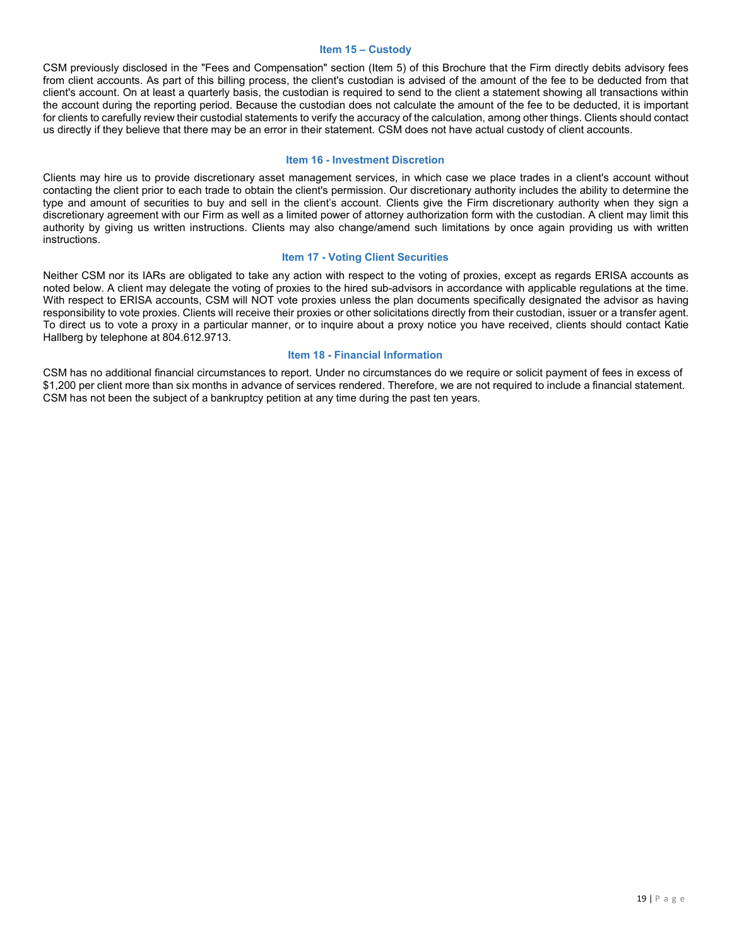#### **Item 15 – Custody**

<span id="page-18-0"></span>CSM previously disclosed in the "Fees and Compensation" section (Item 5) of this Brochure that the Firm directly debits advisory fees from client accounts. As part of this billing process, the client's custodian is advised of the amount of the fee to be deducted from that client's account. On at least a quarterly basis, the custodian is required to send to the client a statement showing all transactions within the account during the reporting period. Because the custodian does not calculate the amount of the fee to be deducted, it is important for clients to carefully review their custodial statements to verify the accuracy of the calculation, among other things. Clients should contact us directly if they believe that there may be an error in their statement. CSM does not have actual custody of client accounts.

#### **Item 16 - Investment Discretion**

<span id="page-18-1"></span>Clients may hire us to provide discretionary asset management services, in which case we place trades in a client's account without contacting the client prior to each trade to obtain the client's permission. Our discretionary authority includes the ability to determine the type and amount of securities to buy and sell in the client's account. Clients give the Firm discretionary authority when they sign a discretionary agreement with our Firm as well as a limited power of attorney authorization form with the custodian. A client may limit this authority by giving us written instructions. Clients may also change/amend such limitations by once again providing us with written instructions.

#### **Item 17 - Voting Client Securities**

<span id="page-18-2"></span>Neither CSM nor its IARs are obligated to take any action with respect to the voting of proxies, except as regards ERISA accounts as noted below. A client may delegate the voting of proxies to the hired sub-advisors in accordance with applicable regulations at the time. With respect to ERISA accounts, CSM will NOT vote proxies unless the plan documents specifically designated the advisor as having responsibility to vote proxies. Clients will receive their proxies or other solicitations directly from their custodian, issuer or a transfer agent. To direct us to vote a proxy in a particular manner, or to inquire about a proxy notice you have received, clients should contact Katie Hallberg by telephone at 804.612.9713.

#### **Item 18 - Financial Information**

<span id="page-18-3"></span>CSM has no additional financial circumstances to report. Under no circumstances do we require or solicit payment of fees in excess of \$1,200 per client more than six months in advance of services rendered. Therefore, we are not required to include a financial statement. CSM has not been the subject of a bankruptcy petition at any time during the past ten years.